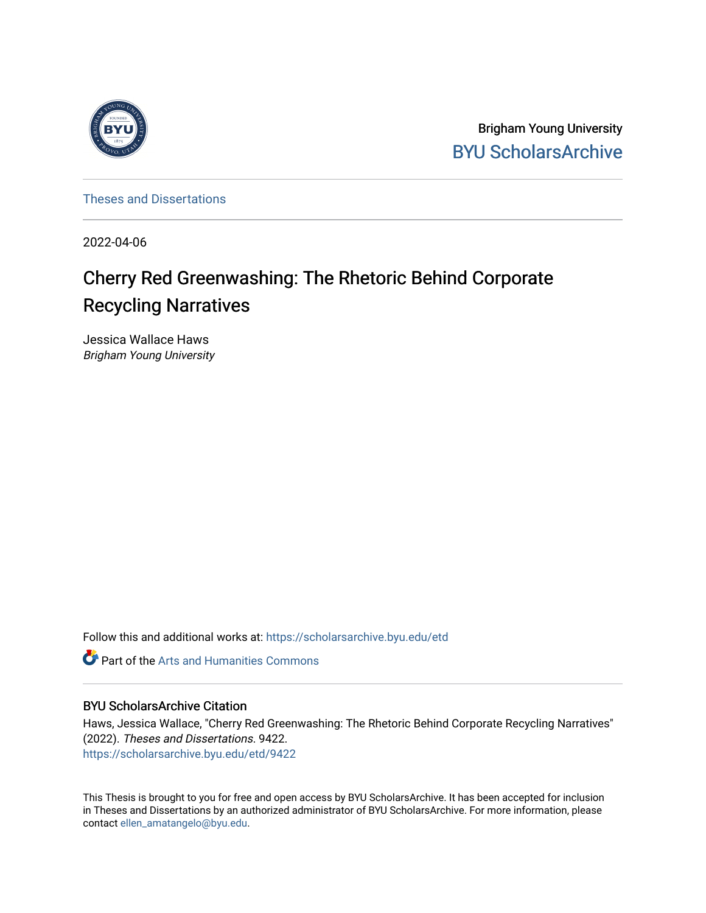

Brigham Young University [BYU ScholarsArchive](https://scholarsarchive.byu.edu/) 

[Theses and Dissertations](https://scholarsarchive.byu.edu/etd)

2022-04-06

# Cherry Red Greenwashing: The Rhetoric Behind Corporate Recycling Narratives

Jessica Wallace Haws Brigham Young University

Follow this and additional works at: [https://scholarsarchive.byu.edu/etd](https://scholarsarchive.byu.edu/etd?utm_source=scholarsarchive.byu.edu%2Fetd%2F9422&utm_medium=PDF&utm_campaign=PDFCoverPages)

**Part of the Arts and Humanities Commons** 

# BYU ScholarsArchive Citation

Haws, Jessica Wallace, "Cherry Red Greenwashing: The Rhetoric Behind Corporate Recycling Narratives" (2022). Theses and Dissertations. 9422. [https://scholarsarchive.byu.edu/etd/9422](https://scholarsarchive.byu.edu/etd/9422?utm_source=scholarsarchive.byu.edu%2Fetd%2F9422&utm_medium=PDF&utm_campaign=PDFCoverPages) 

This Thesis is brought to you for free and open access by BYU ScholarsArchive. It has been accepted for inclusion in Theses and Dissertations by an authorized administrator of BYU ScholarsArchive. For more information, please contact [ellen\\_amatangelo@byu.edu.](mailto:ellen_amatangelo@byu.edu)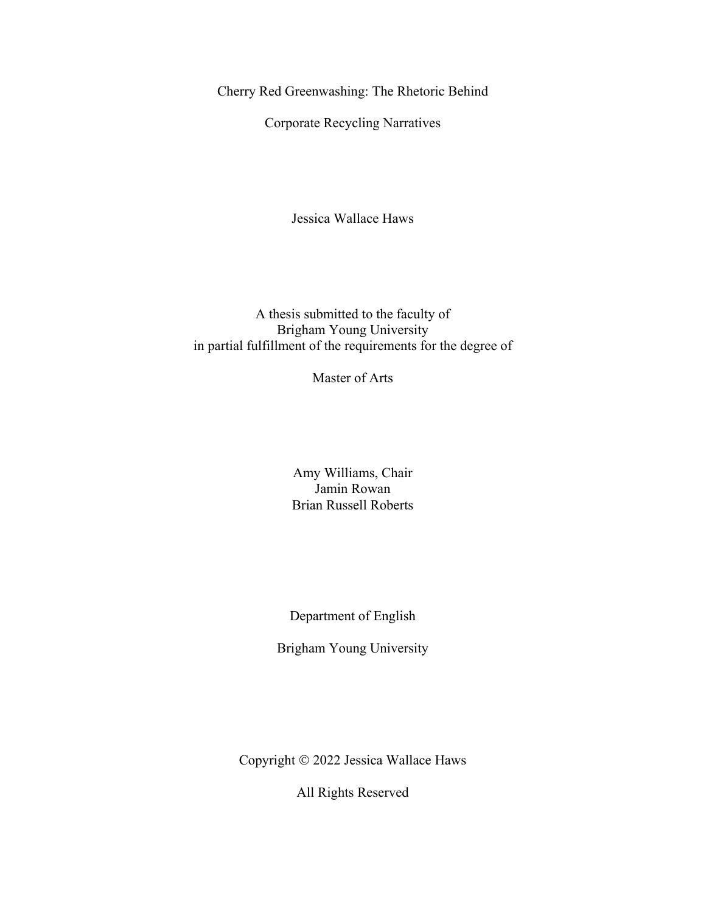<span id="page-1-0"></span>Cherry Red Greenwashing: The Rhetoric Behind

Corporate Recycling Narratives

Jessica Wallace Haws

A thesis submitted to the faculty of Brigham Young University in partial fulfillment of the requirements for the degree of

Master of Arts

Amy Williams, Chair Jamin Rowan Brian Russell Roberts

Department of English

Brigham Young University

Copyright © 2022 Jessica Wallace Haws

All Rights Reserved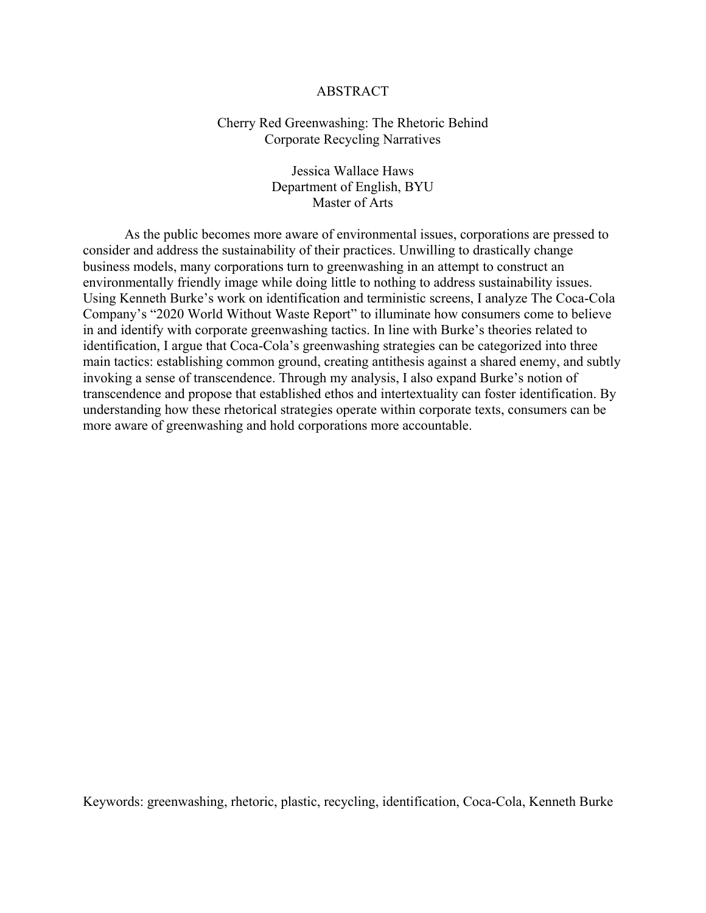# ABSTRACT

# <span id="page-2-0"></span>Cherry Red Greenwashing: The Rhetoric Behind Corporate Recycling Narratives

Jessica Wallace Haws Department of English, BYU Master of Arts

As the public becomes more aware of environmental issues, corporations are pressed to consider and address the sustainability of their practices. Unwilling to drastically change business models, many corporations turn to greenwashing in an attempt to construct an environmentally friendly image while doing little to nothing to address sustainability issues. Using Kenneth Burke's work on identification and terministic screens, I analyze The Coca-Cola Company's "2020 World Without Waste Report" to illuminate how consumers come to believe in and identify with corporate greenwashing tactics. In line with Burke's theories related to identification, I argue that Coca-Cola's greenwashing strategies can be categorized into three main tactics: establishing common ground, creating antithesis against a shared enemy, and subtly invoking a sense of transcendence. Through my analysis, I also expand Burke's notion of transcendence and propose that established ethos and intertextuality can foster identification. By understanding how these rhetorical strategies operate within corporate texts, consumers can be more aware of greenwashing and hold corporations more accountable.

Keywords: greenwashing, rhetoric, plastic, recycling, identification, Coca-Cola, Kenneth Burke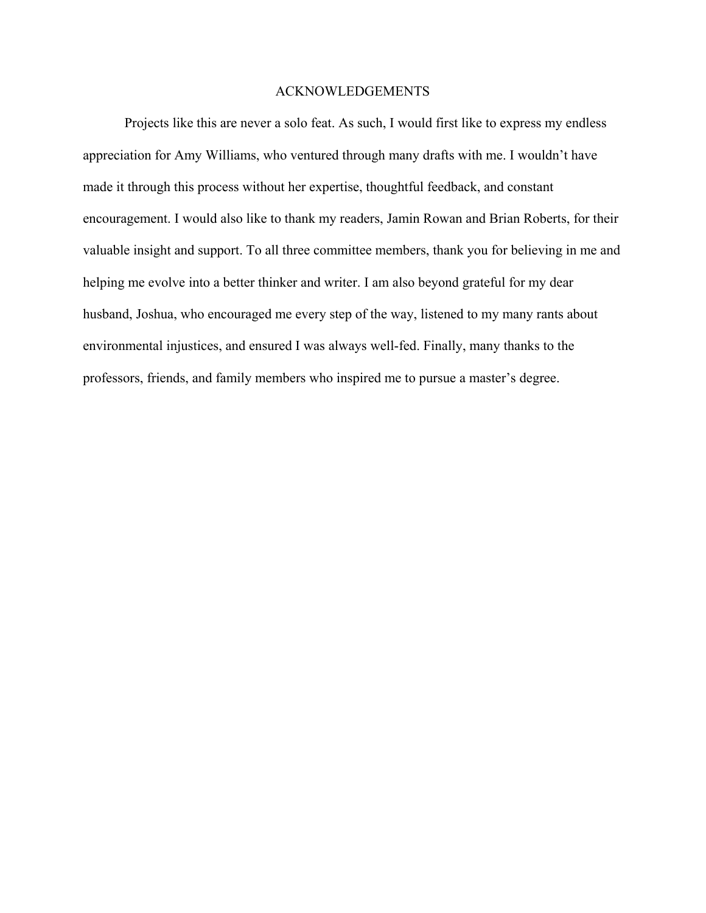### ACKNOWLEDGEMENTS

<span id="page-3-0"></span>Projects like this are never a solo feat. As such, I would first like to express my endless appreciation for Amy Williams, who ventured through many drafts with me. I wouldn't have made it through this process without her expertise, thoughtful feedback, and constant encouragement. I would also like to thank my readers, Jamin Rowan and Brian Roberts, for their valuable insight and support. To all three committee members, thank you for believing in me and helping me evolve into a better thinker and writer. I am also beyond grateful for my dear husband, Joshua, who encouraged me every step of the way, listened to my many rants about environmental injustices, and ensured I was always well-fed. Finally, many thanks to the professors, friends, and family members who inspired me to pursue a master's degree.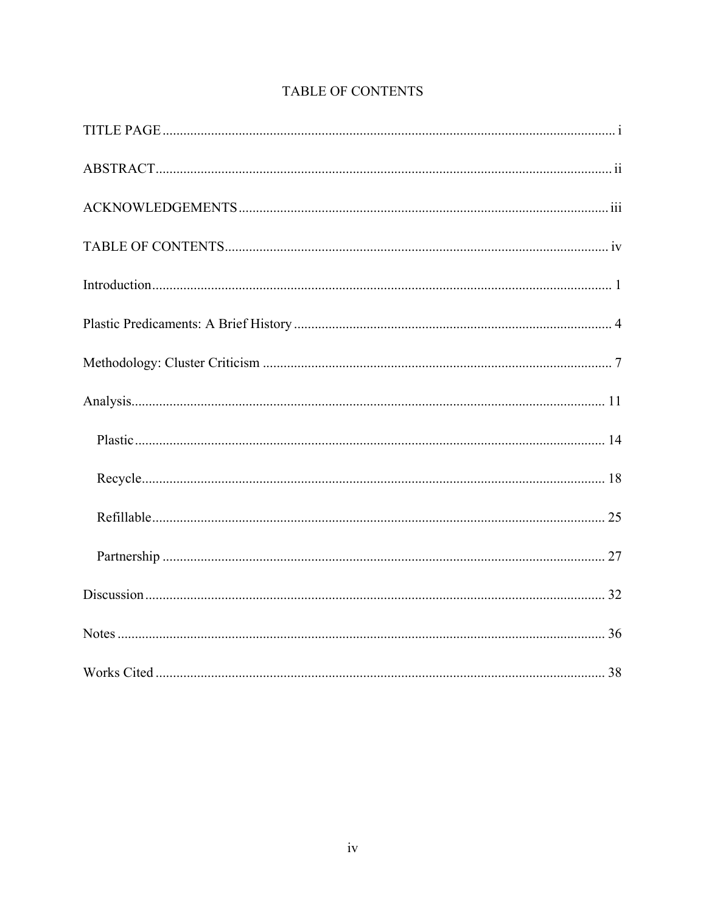<span id="page-4-0"></span>

# TABLE OF CONTENTS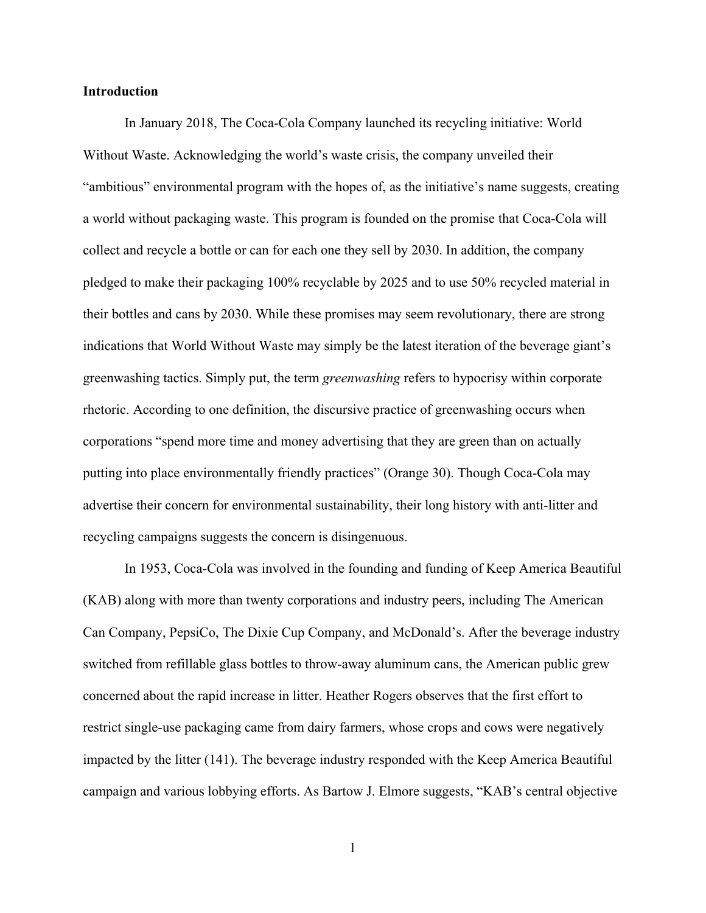# <span id="page-5-0"></span>**Introduction**

In January 2018, The Coca-Cola Company launched its recycling initiative: World Without Waste. Acknowledging the world's waste crisis, the company unveiled their "ambitious" environmental program with the hopes of, as the initiative's name suggests, creating a world without packaging waste. This program is founded on the promise that Coca-Cola will collect and recycle a bottle or can for each one they sell by 2030. In addition, the company pledged to make their packaging 100% recyclable by 2025 and to use 50% recycled material in their bottles and cans by 2030. While these promises may seem revolutionary, there are strong indications that World Without Waste may simply be the latest iteration of the beverage giant's greenwashing tactics. Simply put, the term *greenwashing* refers to hypocrisy within corporate rhetoric. According to one definition, the discursive practice of greenwashing occurs when corporations "spend more time and money advertising that they are green than on actually putting into place environmentally friendly practices" (Orange 30). Though Coca-Cola may advertise their concern for environmental sustainability, their long history with anti-litter and recycling campaigns suggests the concern is disingenuous.

 In 1953, Coca-Cola was involved in the founding and funding of Keep America Beautiful (KAB) along with more than twenty corporations and industry peers, including The American Can Company, PepsiCo, The Dixie Cup Company, and McDonald's. After the beverage industry switched from refillable glass bottles to throw-away aluminum cans, the American public grew concerned about the rapid increase in litter. Heather Rogers observes that the first effort to restrict single-use packaging came from dairy farmers, whose crops and cows were negatively impacted by the litter (141). The beverage industry responded with the Keep America Beautiful campaign and various lobbying efforts. As Bartow J. Elmore suggests, "KAB's central objective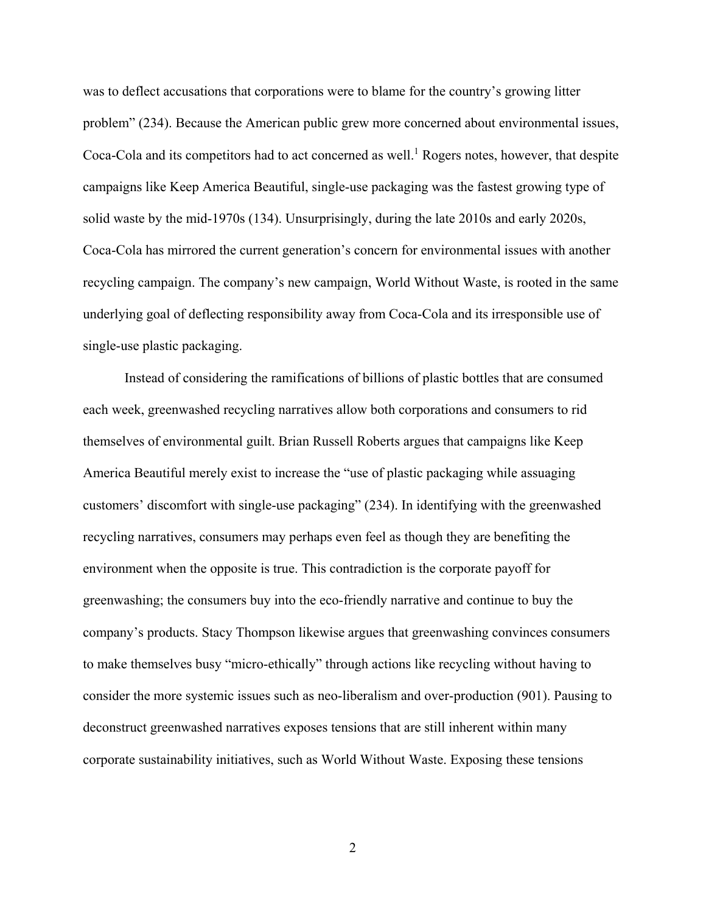was to deflect accusations that corporations were to blame for the country's growing litter problem" (234). Because the American public grew more concerned about environmental issues, Coca-Cola and its competitors had to act concerned as well.<sup>[1](#page-40-1)</sup> Rogers notes, however, that despite campaigns like Keep America Beautiful, single-use packaging was the fastest growing type of solid waste by the mid-1970s (134). Unsurprisingly, during the late 2010s and early 2020s, Coca-Cola has mirrored the current generation's concern for environmental issues with another recycling campaign. The company's new campaign, World Without Waste, is rooted in the same underlying goal of deflecting responsibility away from Coca-Cola and its irresponsible use of single-use plastic packaging.

Instead of considering the ramifications of billions of plastic bottles that are consumed each week, greenwashed recycling narratives allow both corporations and consumers to rid themselves of environmental guilt. Brian Russell Roberts argues that campaigns like Keep America Beautiful merely exist to increase the "use of plastic packaging while assuaging customers' discomfort with single-use packaging" (234). In identifying with the greenwashed recycling narratives, consumers may perhaps even feel as though they are benefiting the environment when the opposite is true. This contradiction is the corporate payoff for greenwashing; the consumers buy into the eco-friendly narrative and continue to buy the company's products. Stacy Thompson likewise argues that greenwashing convinces consumers to make themselves busy "micro-ethically" through actions like recycling without having to consider the more systemic issues such as neo-liberalism and over-production (901). Pausing to deconstruct greenwashed narratives exposes tensions that are still inherent within many corporate sustainability initiatives, such as World Without Waste. Exposing these tensions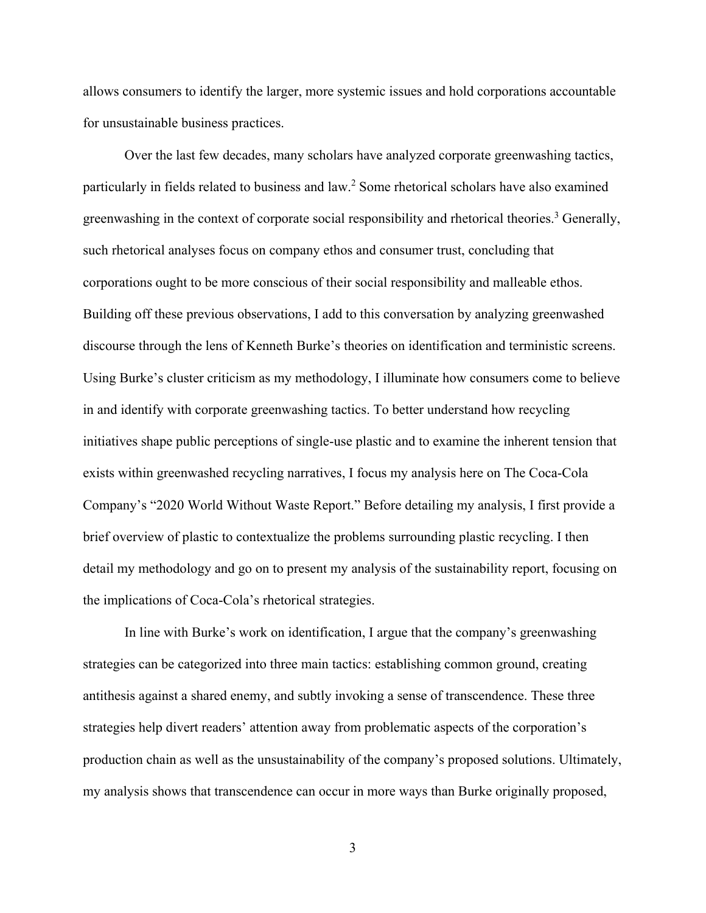allows consumers to identify the larger, more systemic issues and hold corporations accountable for unsustainable business practices.

Over the last few decades, many scholars have analyzed corporate greenwashing tactics, particularly in fields related to business and law[.2](#page-40-2) Some rhetorical scholars have also examined greenwashing in the context of corporate social responsibility and rhetorical theories.<sup>[3](#page-40-3)</sup> Generally, such rhetorical analyses focus on company ethos and consumer trust, concluding that corporations ought to be more conscious of their social responsibility and malleable ethos. Building off these previous observations, I add to this conversation by analyzing greenwashed discourse through the lens of Kenneth Burke's theories on identification and terministic screens. Using Burke's cluster criticism as my methodology, I illuminate how consumers come to believe in and identify with corporate greenwashing tactics. To better understand how recycling initiatives shape public perceptions of single-use plastic and to examine the inherent tension that exists within greenwashed recycling narratives, I focus my analysis here on The Coca-Cola Company's "2020 World Without Waste Report." Before detailing my analysis, I first provide a brief overview of plastic to contextualize the problems surrounding plastic recycling. I then detail my methodology and go on to present my analysis of the sustainability report, focusing on the implications of Coca-Cola's rhetorical strategies.

In line with Burke's work on identification, I argue that the company's greenwashing strategies can be categorized into three main tactics: establishing common ground, creating antithesis against a shared enemy, and subtly invoking a sense of transcendence. These three strategies help divert readers' attention away from problematic aspects of the corporation's production chain as well as the unsustainability of the company's proposed solutions. Ultimately, my analysis shows that transcendence can occur in more ways than Burke originally proposed,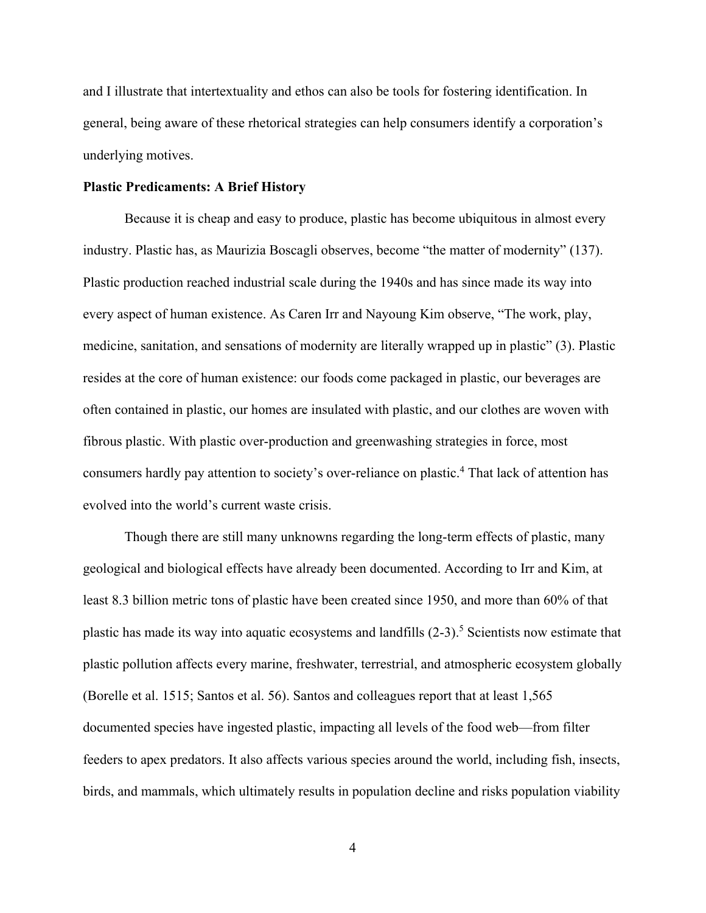and I illustrate that intertextuality and ethos can also be tools for fostering identification. In general, being aware of these rhetorical strategies can help consumers identify a corporation's underlying motives.

# <span id="page-8-0"></span>**Plastic Predicaments: A Brief History**

Because it is cheap and easy to produce, plastic has become ubiquitous in almost every industry. Plastic has, as Maurizia Boscagli observes, become "the matter of modernity" (137). Plastic production reached industrial scale during the 1940s and has since made its way into every aspect of human existence. As Caren Irr and Nayoung Kim observe, "The work, play, medicine, sanitation, and sensations of modernity are literally wrapped up in plastic" (3). Plastic resides at the core of human existence: our foods come packaged in plastic, our beverages are often contained in plastic, our homes are insulated with plastic, and our clothes are woven with fibrous plastic. With plastic over-production and greenwashing strategies in force, most consumers hardly pay attention to society's over-reliance on plastic.[4](#page-40-4) That lack of attention has evolved into the world's current waste crisis.

Though there are still many unknowns regarding the long-term effects of plastic, many geological and biological effects have already been documented. According to Irr and Kim, at least 8.3 billion metric tons of plastic have been created since 1950, and more than 60% of that plastic has made its way into aquatic ecosystems and landfills (2-3).<sup>5</sup> Scientists now estimate that plastic pollution affects every marine, freshwater, terrestrial, and atmospheric ecosystem globally (Borelle et al. 1515; Santos et al. 56). Santos and colleagues report that at least 1,565 documented species have ingested plastic, impacting all levels of the food web—from filter feeders to apex predators. It also affects various species around the world, including fish, insects, birds, and mammals, which ultimately results in population decline and risks population viability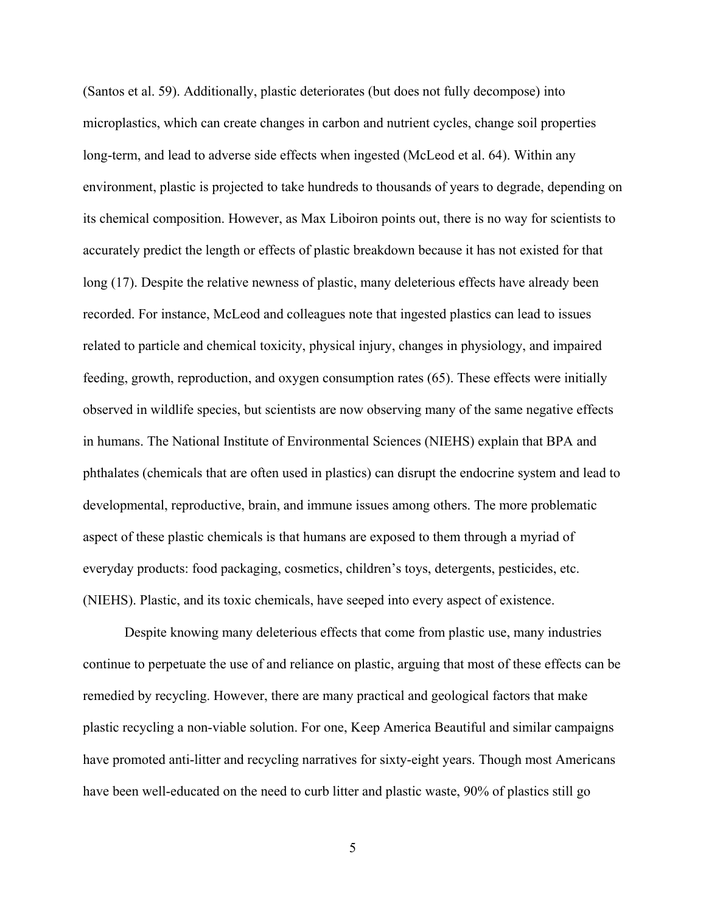(Santos et al. 59). Additionally, plastic deteriorates (but does not fully decompose) into microplastics, which can create changes in carbon and nutrient cycles, change soil properties long-term, and lead to adverse side effects when ingested (McLeod et al. 64). Within any environment, plastic is projected to take hundreds to thousands of years to degrade, depending on its chemical composition. However, as Max Liboiron points out, there is no way for scientists to accurately predict the length or effects of plastic breakdown because it has not existed for that long (17). Despite the relative newness of plastic, many deleterious effects have already been recorded. For instance, McLeod and colleagues note that ingested plastics can lead to issues related to particle and chemical toxicity, physical injury, changes in physiology, and impaired feeding, growth, reproduction, and oxygen consumption rates (65). These effects were initially observed in wildlife species, but scientists are now observing many of the same negative effects in humans. The National Institute of Environmental Sciences (NIEHS) explain that BPA and phthalates (chemicals that are often used in plastics) can disrupt the endocrine system and lead to developmental, reproductive, brain, and immune issues among others. The more problematic aspect of these plastic chemicals is that humans are exposed to them through a myriad of everyday products: food packaging, cosmetics, children's toys, detergents, pesticides, etc. (NIEHS). Plastic, and its toxic chemicals, have seeped into every aspect of existence.

Despite knowing many deleterious effects that come from plastic use, many industries continue to perpetuate the use of and reliance on plastic, arguing that most of these effects can be remedied by recycling. However, there are many practical and geological factors that make plastic recycling a non-viable solution. For one, Keep America Beautiful and similar campaigns have promoted anti-litter and recycling narratives for sixty-eight years. Though most Americans have been well-educated on the need to curb litter and plastic waste, 90% of plastics still go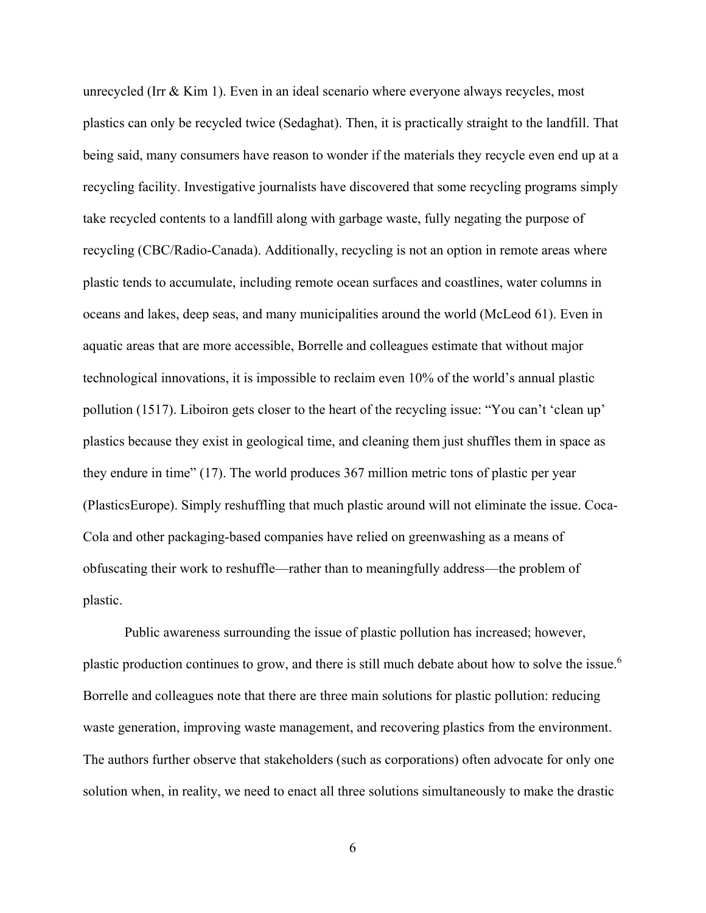unrecycled (Irr & Kim 1). Even in an ideal scenario where everyone always recycles, most plastics can only be recycled twice (Sedaghat). Then, it is practically straight to the landfill. That being said, many consumers have reason to wonder if the materials they recycle even end up at a recycling facility. Investigative journalists have discovered that some recycling programs simply take recycled contents to a landfill along with garbage waste, fully negating the purpose of recycling (CBC/Radio-Canada). Additionally, recycling is not an option in remote areas where plastic tends to accumulate, including remote ocean surfaces and coastlines, water columns in oceans and lakes, deep seas, and many municipalities around the world (McLeod 61). Even in aquatic areas that are more accessible, Borrelle and colleagues estimate that without major technological innovations, it is impossible to reclaim even 10% of the world's annual plastic pollution (1517). Liboiron gets closer to the heart of the recycling issue: "You can't 'clean up' plastics because they exist in geological time, and cleaning them just shuffles them in space as they endure in time" (17). The world produces 367 million metric tons of plastic per year (PlasticsEurope). Simply reshuffling that much plastic around will not eliminate the issue. Coca-Cola and other packaging-based companies have relied on greenwashing as a means of obfuscating their work to reshuffle—rather than to meaningfully address—the problem of plastic.

Public awareness surrounding the issue of plastic pollution has increased; however, plastic production continues to grow, and there is still much debate about how to solve the issue.<sup>[6](#page-41-0)</sup> Borrelle and colleagues note that there are three main solutions for plastic pollution: reducing waste generation, improving waste management, and recovering plastics from the environment. The authors further observe that stakeholders (such as corporations) often advocate for only one solution when, in reality, we need to enact all three solutions simultaneously to make the drastic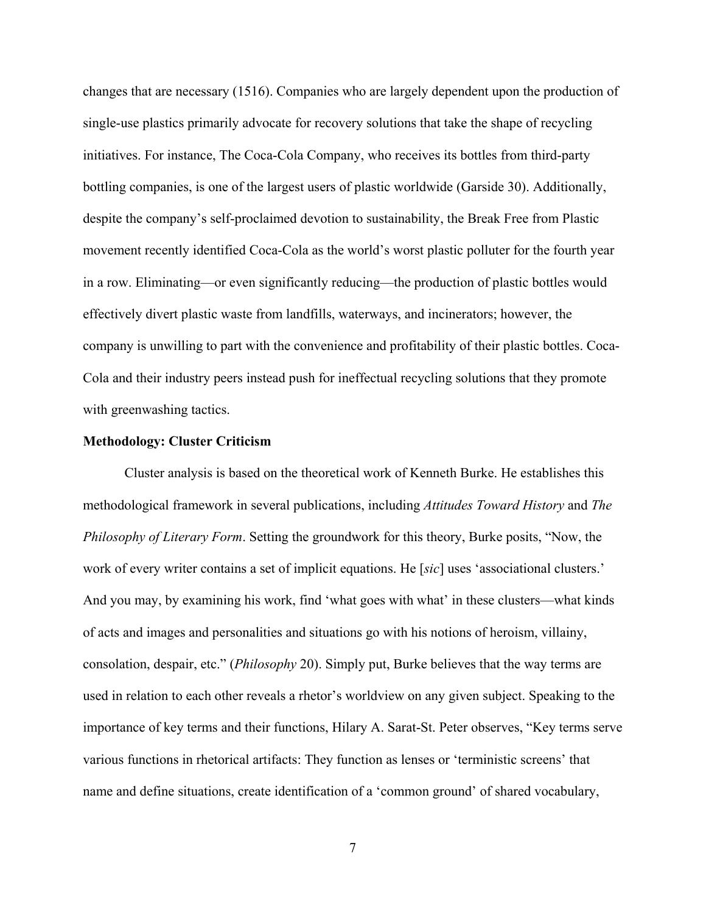changes that are necessary (1516). Companies who are largely dependent upon the production of single-use plastics primarily advocate for recovery solutions that take the shape of recycling initiatives. For instance, The Coca-Cola Company, who receives its bottles from third-party bottling companies, is one of the largest users of plastic worldwide (Garside 30). Additionally, despite the company's self-proclaimed devotion to sustainability, the Break Free from Plastic movement recently identified Coca-Cola as the world's worst plastic polluter for the fourth year in a row. Eliminating—or even significantly reducing—the production of plastic bottles would effectively divert plastic waste from landfills, waterways, and incinerators; however, the company is unwilling to part with the convenience and profitability of their plastic bottles. Coca-Cola and their industry peers instead push for ineffectual recycling solutions that they promote with greenwashing tactics.

#### <span id="page-11-0"></span>**Methodology: Cluster Criticism**

Cluster analysis is based on the theoretical work of Kenneth Burke. He establishes this methodological framework in several publications, including *Attitudes Toward History* and *The Philosophy of Literary Form*. Setting the groundwork for this theory, Burke posits, "Now, the work of every writer contains a set of implicit equations. He [*sic*] uses 'associational clusters.' And you may, by examining his work, find 'what goes with what' in these clusters—what kinds of acts and images and personalities and situations go with his notions of heroism, villainy, consolation, despair, etc." (*Philosophy* 20). Simply put, Burke believes that the way terms are used in relation to each other reveals a rhetor's worldview on any given subject. Speaking to the importance of key terms and their functions, Hilary A. Sarat-St. Peter observes, "Key terms serve various functions in rhetorical artifacts: They function as lenses or 'terministic screens' that name and define situations, create identification of a 'common ground' of shared vocabulary,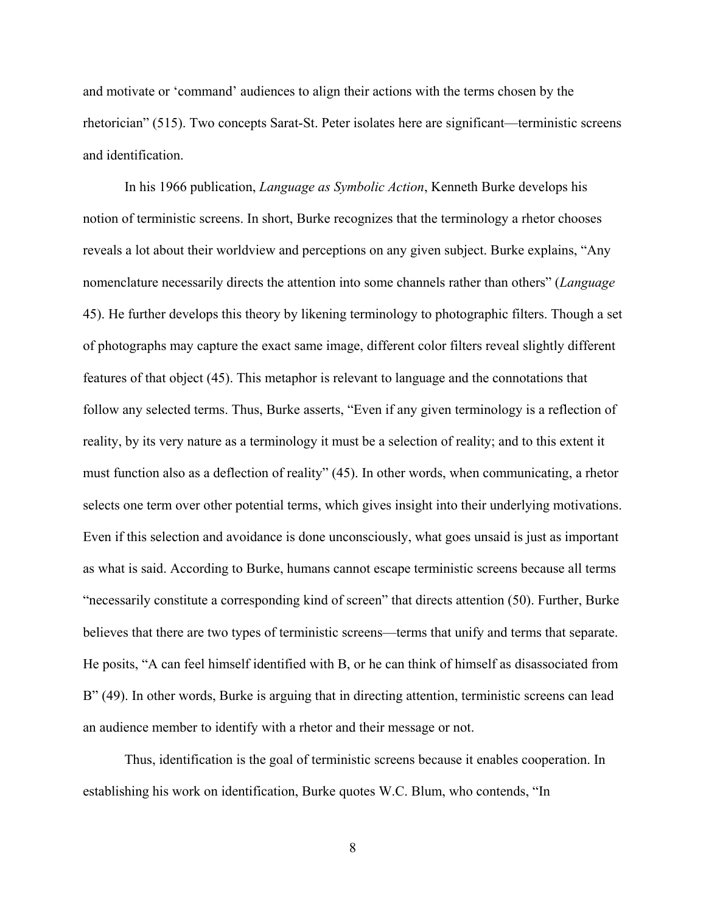and motivate or 'command' audiences to align their actions with the terms chosen by the rhetorician" (515). Two concepts Sarat-St. Peter isolates here are significant—terministic screens and identification.

 In his 1966 publication, *Language as Symbolic Action*, Kenneth Burke develops his notion of terministic screens. In short, Burke recognizes that the terminology a rhetor chooses reveals a lot about their worldview and perceptions on any given subject. Burke explains, "Any nomenclature necessarily directs the attention into some channels rather than others" (*Language*  45). He further develops this theory by likening terminology to photographic filters. Though a set of photographs may capture the exact same image, different color filters reveal slightly different features of that object (45). This metaphor is relevant to language and the connotations that follow any selected terms. Thus, Burke asserts, "Even if any given terminology is a reflection of reality, by its very nature as a terminology it must be a selection of reality; and to this extent it must function also as a deflection of reality" (45). In other words, when communicating, a rhetor selects one term over other potential terms, which gives insight into their underlying motivations. Even if this selection and avoidance is done unconsciously, what goes unsaid is just as important as what is said. According to Burke, humans cannot escape terministic screens because all terms "necessarily constitute a corresponding kind of screen" that directs attention (50). Further, Burke believes that there are two types of terministic screens—terms that unify and terms that separate. He posits, "A can feel himself identified with B, or he can think of himself as disassociated from B" (49). In other words, Burke is arguing that in directing attention, terministic screens can lead an audience member to identify with a rhetor and their message or not.

Thus, identification is the goal of terministic screens because it enables cooperation. In establishing his work on identification, Burke quotes W.C. Blum, who contends, "In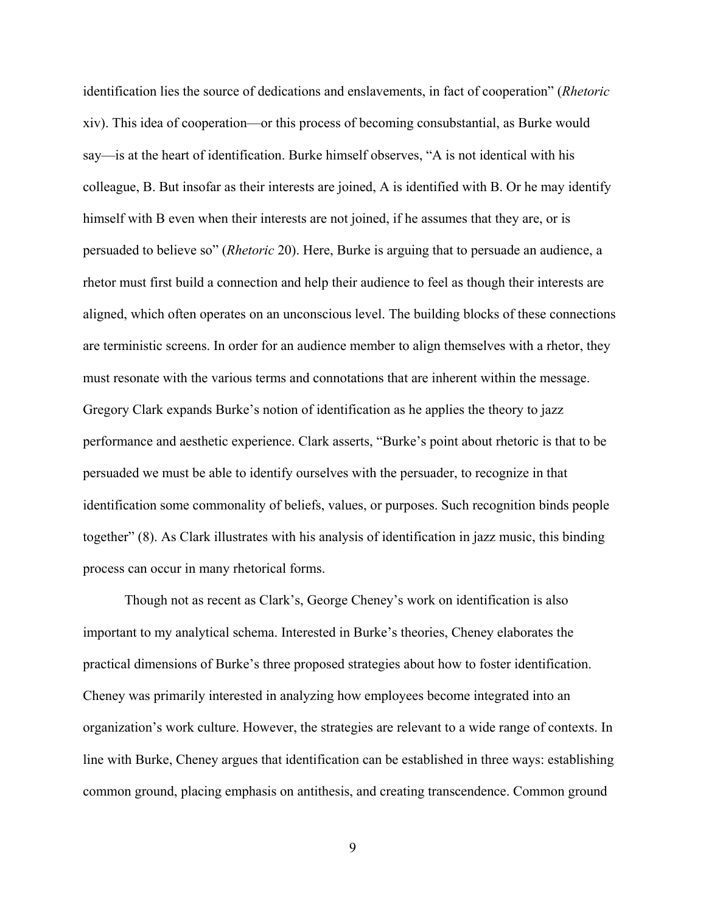identification lies the source of dedications and enslavements, in fact of cooperation" (*Rhetoric*  xiv). This idea of cooperation—or this process of becoming consubstantial, as Burke would say—is at the heart of identification. Burke himself observes, "A is not identical with his colleague, B. But insofar as their interests are joined, A is identified with B. Or he may identify himself with B even when their interests are not joined, if he assumes that they are, or is persuaded to believe so" (*Rhetoric* 20). Here, Burke is arguing that to persuade an audience, a rhetor must first build a connection and help their audience to feel as though their interests are aligned, which often operates on an unconscious level. The building blocks of these connections are terministic screens. In order for an audience member to align themselves with a rhetor, they must resonate with the various terms and connotations that are inherent within the message. Gregory Clark expands Burke's notion of identification as he applies the theory to jazz performance and aesthetic experience. Clark asserts, "Burke's point about rhetoric is that to be persuaded we must be able to identify ourselves with the persuader, to recognize in that identification some commonality of beliefs, values, or purposes. Such recognition binds people together" (8). As Clark illustrates with his analysis of identification in jazz music, this binding process can occur in many rhetorical forms.

 Though not as recent as Clark's, George Cheney's work on identification is also important to my analytical schema. Interested in Burke's theories, Cheney elaborates the practical dimensions of Burke's three proposed strategies about how to foster identification. Cheney was primarily interested in analyzing how employees become integrated into an organization's work culture. However, the strategies are relevant to a wide range of contexts. In line with Burke, Cheney argues that identification can be established in three ways: establishing common ground, placing emphasis on antithesis, and creating transcendence. Common ground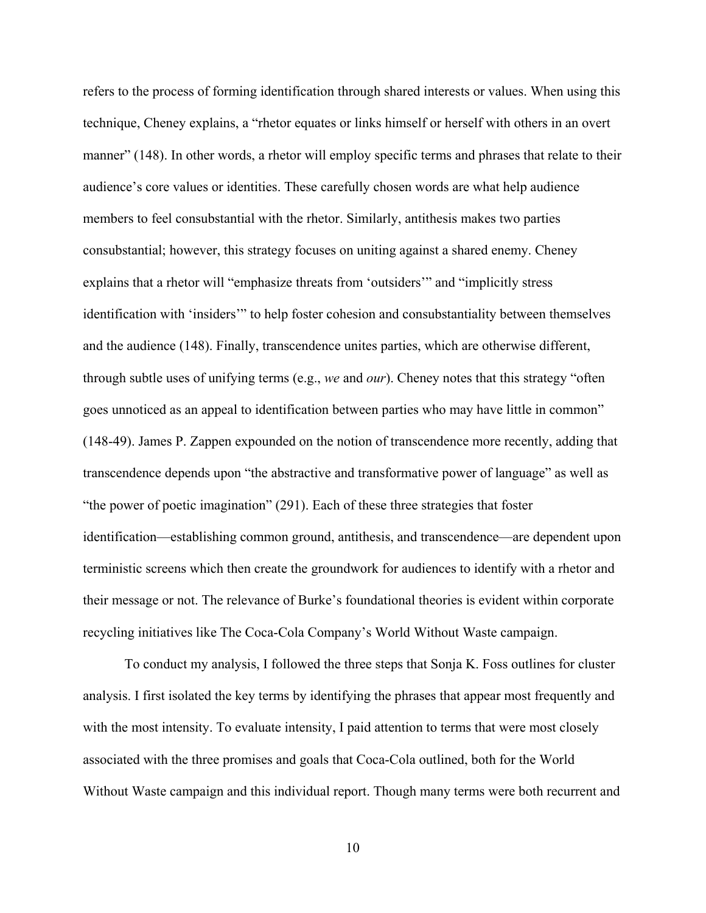refers to the process of forming identification through shared interests or values. When using this technique, Cheney explains, a "rhetor equates or links himself or herself with others in an overt manner" (148). In other words, a rhetor will employ specific terms and phrases that relate to their audience's core values or identities. These carefully chosen words are what help audience members to feel consubstantial with the rhetor. Similarly, antithesis makes two parties consubstantial; however, this strategy focuses on uniting against a shared enemy. Cheney explains that a rhetor will "emphasize threats from 'outsiders'" and "implicitly stress identification with 'insiders'" to help foster cohesion and consubstantiality between themselves and the audience (148). Finally, transcendence unites parties, which are otherwise different, through subtle uses of unifying terms (e.g., *we* and *our*). Cheney notes that this strategy "often goes unnoticed as an appeal to identification between parties who may have little in common" (148-49). James P. Zappen expounded on the notion of transcendence more recently, adding that transcendence depends upon "the abstractive and transformative power of language" as well as "the power of poetic imagination" (291). Each of these three strategies that foster identification—establishing common ground, antithesis, and transcendence—are dependent upon terministic screens which then create the groundwork for audiences to identify with a rhetor and their message or not. The relevance of Burke's foundational theories is evident within corporate recycling initiatives like The Coca-Cola Company's World Without Waste campaign.

 To conduct my analysis, I followed the three steps that Sonja K. Foss outlines for cluster analysis. I first isolated the key terms by identifying the phrases that appear most frequently and with the most intensity. To evaluate intensity, I paid attention to terms that were most closely associated with the three promises and goals that Coca-Cola outlined, both for the World Without Waste campaign and this individual report. Though many terms were both recurrent and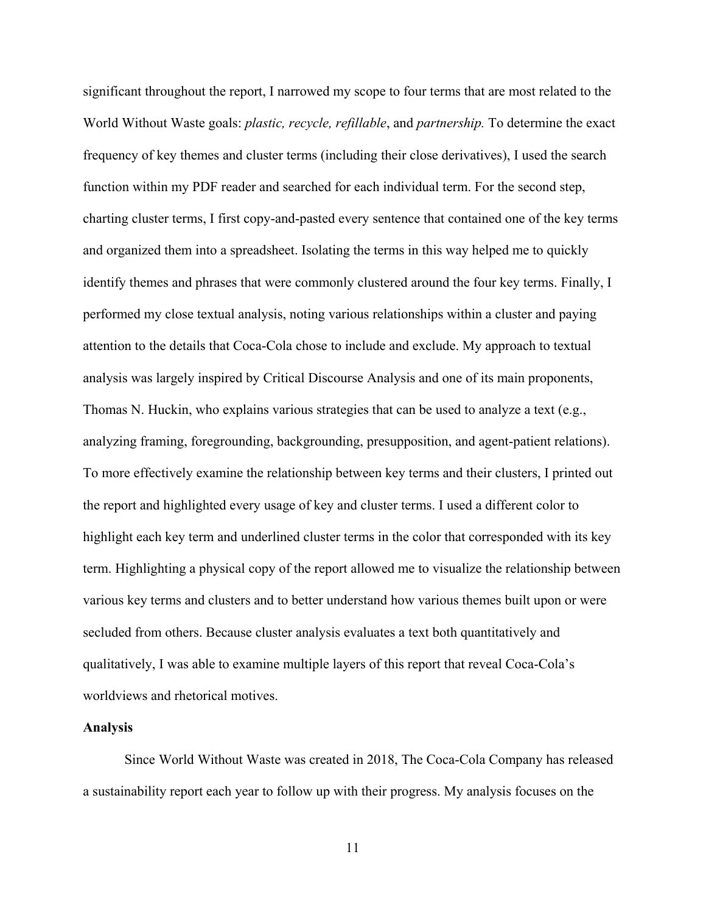significant throughout the report, I narrowed my scope to four terms that are most related to the World Without Waste goals: *plastic, recycle, refillable*, and *partnership.* To determine the exact frequency of key themes and cluster terms (including their close derivatives), I used the search function within my PDF reader and searched for each individual term. For the second step, charting cluster terms, I first copy-and-pasted every sentence that contained one of the key terms and organized them into a spreadsheet. Isolating the terms in this way helped me to quickly identify themes and phrases that were commonly clustered around the four key terms. Finally, I performed my close textual analysis, noting various relationships within a cluster and paying attention to the details that Coca-Cola chose to include and exclude. My approach to textual analysis was largely inspired by Critical Discourse Analysis and one of its main proponents, Thomas N. Huckin, who explains various strategies that can be used to analyze a text (e.g., analyzing framing, foregrounding, backgrounding, presupposition, and agent-patient relations). To more effectively examine the relationship between key terms and their clusters, I printed out the report and highlighted every usage of key and cluster terms. I used a different color to highlight each key term and underlined cluster terms in the color that corresponded with its key term. Highlighting a physical copy of the report allowed me to visualize the relationship between various key terms and clusters and to better understand how various themes built upon or were secluded from others. Because cluster analysis evaluates a text both quantitatively and qualitatively, I was able to examine multiple layers of this report that reveal Coca-Cola's worldviews and rhetorical motives.

#### <span id="page-15-0"></span>**Analysis**

Since World Without Waste was created in 2018, The Coca-Cola Company has released a sustainability report each year to follow up with their progress. My analysis focuses on the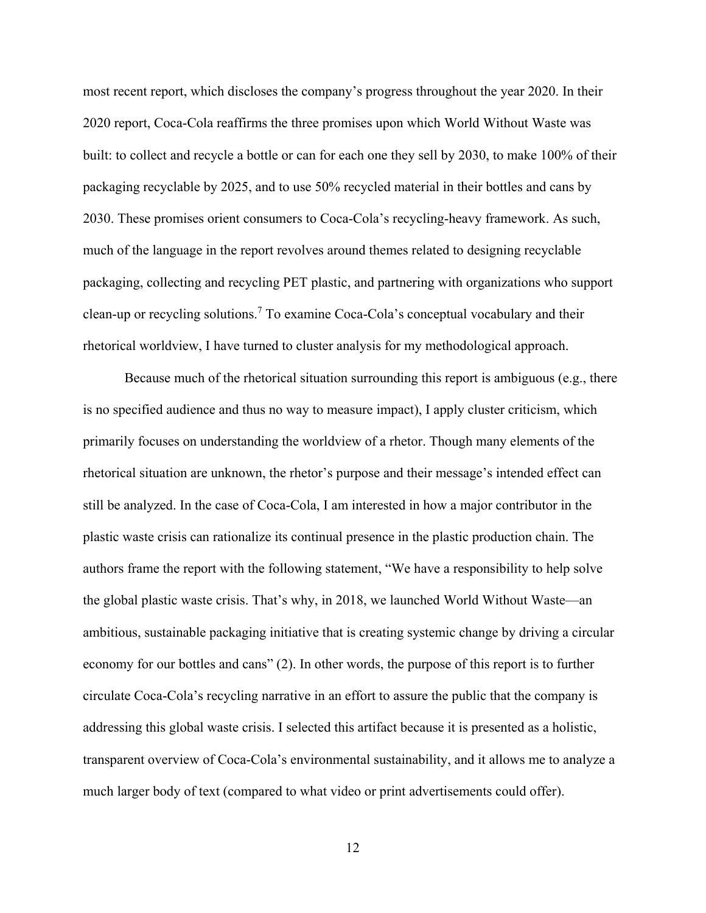most recent report, which discloses the company's progress throughout the year 2020. In their 2020 report, Coca-Cola reaffirms the three promises upon which World Without Waste was built: to collect and recycle a bottle or can for each one they sell by 2030, to make 100% of their packaging recyclable by 2025, and to use 50% recycled material in their bottles and cans by 2030. These promises orient consumers to Coca-Cola's recycling-heavy framework. As such, much of the language in the report revolves around themes related to designing recyclable packaging, collecting and recycling PET plastic, and partnering with organizations who support clean-up or recycling solutions.<sup>[7](#page-41-1)</sup> To examine Coca-Cola's conceptual vocabulary and their rhetorical worldview, I have turned to cluster analysis for my methodological approach.

Because much of the rhetorical situation surrounding this report is ambiguous (e.g., there is no specified audience and thus no way to measure impact), I apply cluster criticism, which primarily focuses on understanding the worldview of a rhetor. Though many elements of the rhetorical situation are unknown, the rhetor's purpose and their message's intended effect can still be analyzed. In the case of Coca-Cola, I am interested in how a major contributor in the plastic waste crisis can rationalize its continual presence in the plastic production chain. The authors frame the report with the following statement, "We have a responsibility to help solve the global plastic waste crisis. That's why, in 2018, we launched World Without Waste—an ambitious, sustainable packaging initiative that is creating systemic change by driving a circular economy for our bottles and cans" (2). In other words, the purpose of this report is to further circulate Coca-Cola's recycling narrative in an effort to assure the public that the company is addressing this global waste crisis. I selected this artifact because it is presented as a holistic, transparent overview of Coca-Cola's environmental sustainability, and it allows me to analyze a much larger body of text (compared to what video or print advertisements could offer).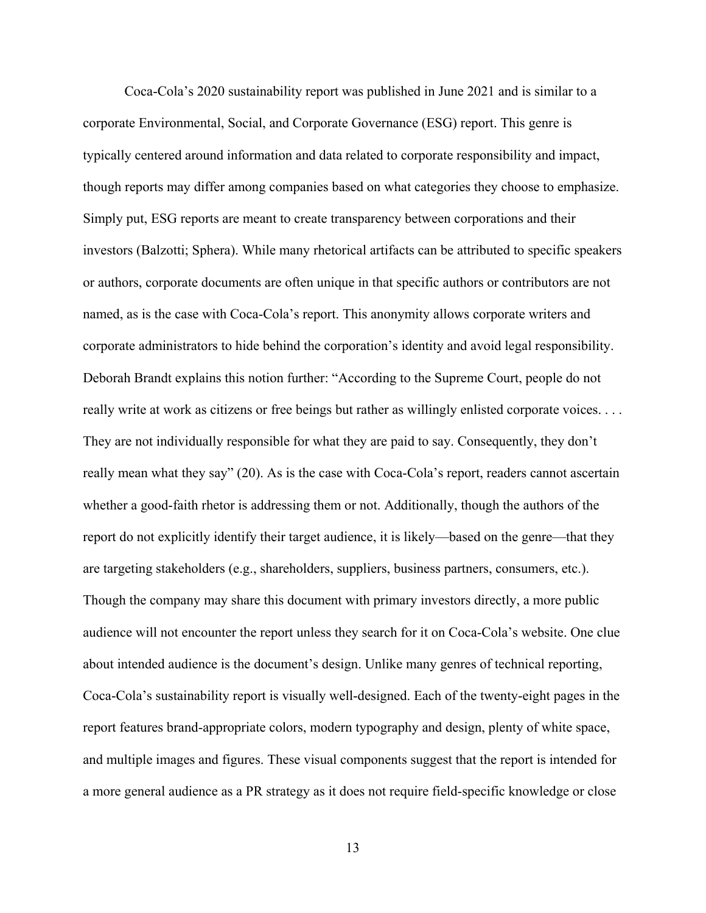Coca-Cola's 2020 sustainability report was published in June 2021 and is similar to a corporate Environmental, Social, and Corporate Governance (ESG) report. This genre is typically centered around information and data related to corporate responsibility and impact, though reports may differ among companies based on what categories they choose to emphasize. Simply put, ESG reports are meant to create transparency between corporations and their investors (Balzotti; Sphera). While many rhetorical artifacts can be attributed to specific speakers or authors, corporate documents are often unique in that specific authors or contributors are not named, as is the case with Coca-Cola's report. This anonymity allows corporate writers and corporate administrators to hide behind the corporation's identity and avoid legal responsibility. Deborah Brandt explains this notion further: "According to the Supreme Court, people do not really write at work as citizens or free beings but rather as willingly enlisted corporate voices. . . . They are not individually responsible for what they are paid to say. Consequently, they don't really mean what they say" (20). As is the case with Coca-Cola's report, readers cannot ascertain whether a good-faith rhetor is addressing them or not. Additionally, though the authors of the report do not explicitly identify their target audience, it is likely—based on the genre—that they are targeting stakeholders (e.g., shareholders, suppliers, business partners, consumers, etc.). Though the company may share this document with primary investors directly, a more public audience will not encounter the report unless they search for it on Coca-Cola's website. One clue about intended audience is the document's design. Unlike many genres of technical reporting, Coca-Cola's sustainability report is visually well-designed. Each of the twenty-eight pages in the report features brand-appropriate colors, modern typography and design, plenty of white space, and multiple images and figures. These visual components suggest that the report is intended for a more general audience as a PR strategy as it does not require field-specific knowledge or close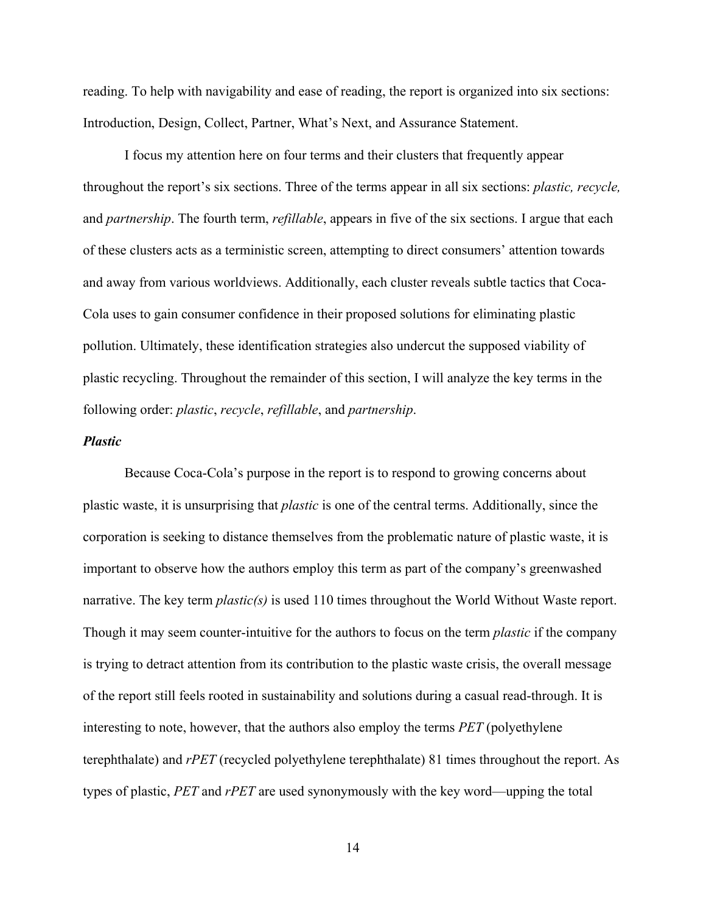reading. To help with navigability and ease of reading, the report is organized into six sections: Introduction, Design, Collect, Partner, What's Next, and Assurance Statement.

I focus my attention here on four terms and their clusters that frequently appear throughout the report's six sections. Three of the terms appear in all six sections: *plastic, recycle,*  and *partnership*. The fourth term, *refillable*, appears in five of the six sections. I argue that each of these clusters acts as a terministic screen, attempting to direct consumers' attention towards and away from various worldviews. Additionally, each cluster reveals subtle tactics that Coca-Cola uses to gain consumer confidence in their proposed solutions for eliminating plastic pollution. Ultimately, these identification strategies also undercut the supposed viability of plastic recycling. Throughout the remainder of this section, I will analyze the key terms in the following order: *plastic*, *recycle*, *refillable*, and *partnership*.

# <span id="page-18-0"></span>*Plastic*

Because Coca-Cola's purpose in the report is to respond to growing concerns about plastic waste, it is unsurprising that *plastic* is one of the central terms. Additionally, since the corporation is seeking to distance themselves from the problematic nature of plastic waste, it is important to observe how the authors employ this term as part of the company's greenwashed narrative. The key term *plastic(s)* is used 110 times throughout the World Without Waste report. Though it may seem counter-intuitive for the authors to focus on the term *plastic* if the company is trying to detract attention from its contribution to the plastic waste crisis, the overall message of the report still feels rooted in sustainability and solutions during a casual read-through. It is interesting to note, however, that the authors also employ the terms *PET* (polyethylene terephthalate) and *rPET* (recycled polyethylene terephthalate) 81 times throughout the report. As types of plastic, *PET* and *rPET* are used synonymously with the key word—upping the total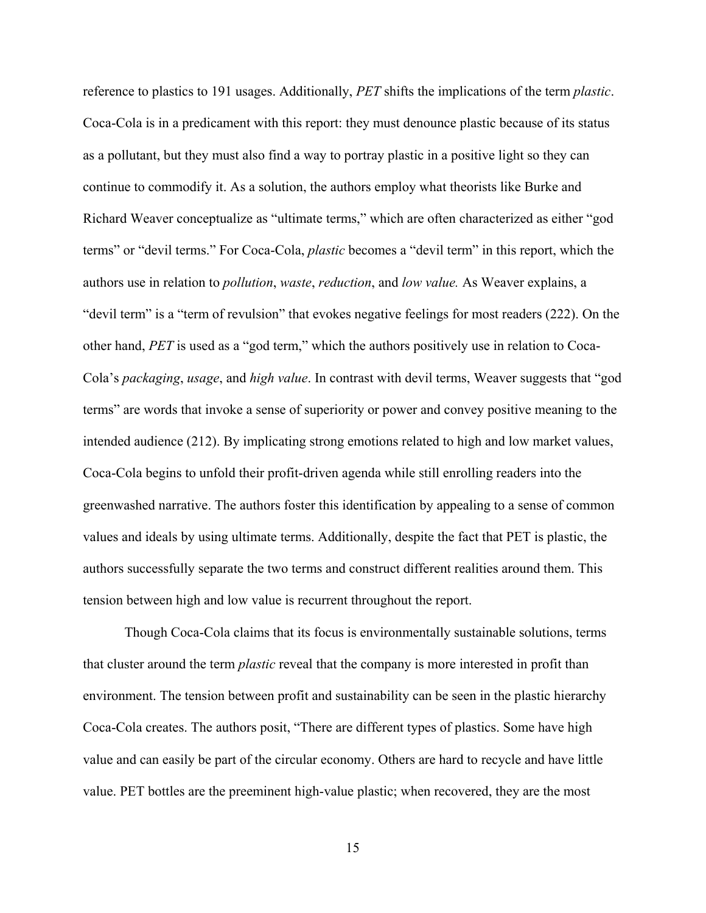reference to plastics to 191 usages. Additionally, *PET* shifts the implications of the term *plastic*. Coca-Cola is in a predicament with this report: they must denounce plastic because of its status as a pollutant, but they must also find a way to portray plastic in a positive light so they can continue to commodify it. As a solution, the authors employ what theorists like Burke and Richard Weaver conceptualize as "ultimate terms," which are often characterized as either "god terms" or "devil terms." For Coca-Cola, *plastic* becomes a "devil term" in this report, which the authors use in relation to *pollution*, *waste*, *reduction*, and *low value.* As Weaver explains, a "devil term" is a "term of revulsion" that evokes negative feelings for most readers (222). On the other hand, *PET* is used as a "god term," which the authors positively use in relation to Coca-Cola's *packaging*, *usage*, and *high value*. In contrast with devil terms, Weaver suggests that "god terms" are words that invoke a sense of superiority or power and convey positive meaning to the intended audience (212). By implicating strong emotions related to high and low market values, Coca-Cola begins to unfold their profit-driven agenda while still enrolling readers into the greenwashed narrative. The authors foster this identification by appealing to a sense of common values and ideals by using ultimate terms. Additionally, despite the fact that PET is plastic, the authors successfully separate the two terms and construct different realities around them. This tension between high and low value is recurrent throughout the report.

 Though Coca-Cola claims that its focus is environmentally sustainable solutions, terms that cluster around the term *plastic* reveal that the company is more interested in profit than environment. The tension between profit and sustainability can be seen in the plastic hierarchy Coca-Cola creates. The authors posit, "There are different types of plastics. Some have high value and can easily be part of the circular economy. Others are hard to recycle and have little value. PET bottles are the preeminent high-value plastic; when recovered, they are the most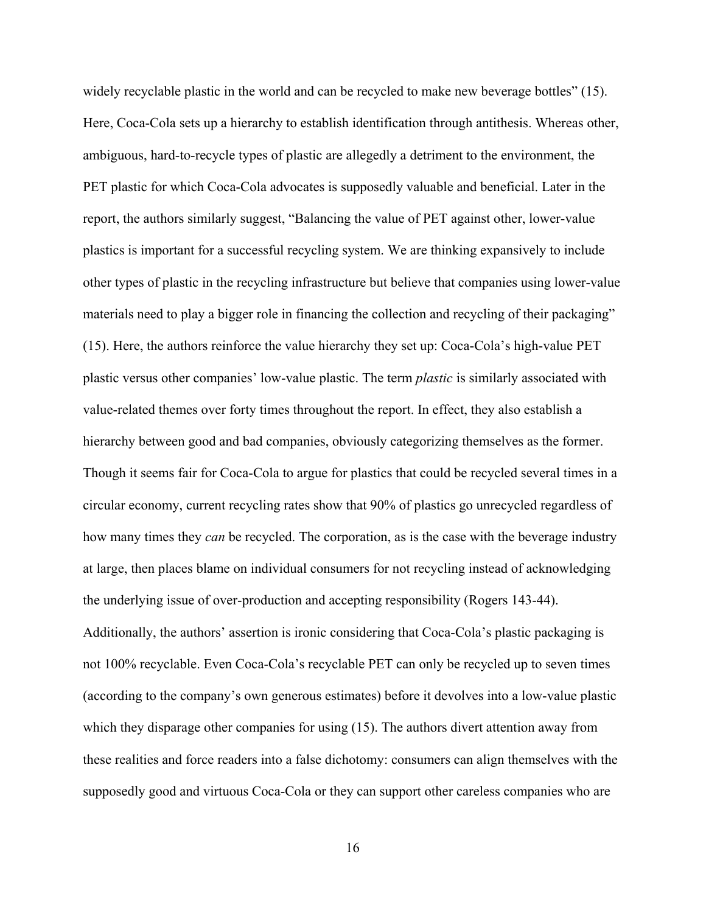widely recyclable plastic in the world and can be recycled to make new beverage bottles" (15). Here, Coca-Cola sets up a hierarchy to establish identification through antithesis. Whereas other, ambiguous, hard-to-recycle types of plastic are allegedly a detriment to the environment, the PET plastic for which Coca-Cola advocates is supposedly valuable and beneficial. Later in the report, the authors similarly suggest, "Balancing the value of PET against other, lower-value plastics is important for a successful recycling system. We are thinking expansively to include other types of plastic in the recycling infrastructure but believe that companies using lower-value materials need to play a bigger role in financing the collection and recycling of their packaging" (15). Here, the authors reinforce the value hierarchy they set up: Coca-Cola's high-value PET plastic versus other companies' low-value plastic. The term *plastic* is similarly associated with value-related themes over forty times throughout the report. In effect, they also establish a hierarchy between good and bad companies, obviously categorizing themselves as the former. Though it seems fair for Coca-Cola to argue for plastics that could be recycled several times in a circular economy, current recycling rates show that 90% of plastics go unrecycled regardless of how many times they *can* be recycled. The corporation, as is the case with the beverage industry at large, then places blame on individual consumers for not recycling instead of acknowledging the underlying issue of over-production and accepting responsibility (Rogers 143-44). Additionally, the authors' assertion is ironic considering that Coca-Cola's plastic packaging is not 100% recyclable. Even Coca-Cola's recyclable PET can only be recycled up to seven times (according to the company's own generous estimates) before it devolves into a low-value plastic which they disparage other companies for using (15). The authors divert attention away from these realities and force readers into a false dichotomy: consumers can align themselves with the supposedly good and virtuous Coca-Cola or they can support other careless companies who are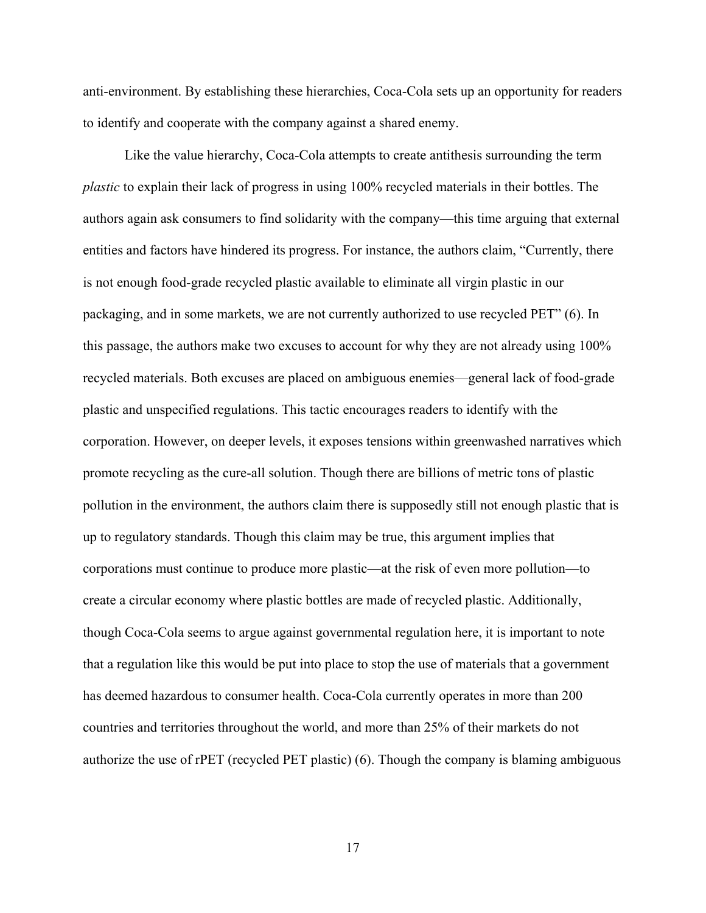anti-environment. By establishing these hierarchies, Coca-Cola sets up an opportunity for readers to identify and cooperate with the company against a shared enemy.

 Like the value hierarchy, Coca-Cola attempts to create antithesis surrounding the term *plastic* to explain their lack of progress in using 100% recycled materials in their bottles. The authors again ask consumers to find solidarity with the company—this time arguing that external entities and factors have hindered its progress. For instance, the authors claim, "Currently, there is not enough food-grade recycled plastic available to eliminate all virgin plastic in our packaging, and in some markets, we are not currently authorized to use recycled PET" (6). In this passage, the authors make two excuses to account for why they are not already using 100% recycled materials. Both excuses are placed on ambiguous enemies—general lack of food-grade plastic and unspecified regulations. This tactic encourages readers to identify with the corporation. However, on deeper levels, it exposes tensions within greenwashed narratives which promote recycling as the cure-all solution. Though there are billions of metric tons of plastic pollution in the environment, the authors claim there is supposedly still not enough plastic that is up to regulatory standards. Though this claim may be true, this argument implies that corporations must continue to produce more plastic—at the risk of even more pollution—to create a circular economy where plastic bottles are made of recycled plastic. Additionally, though Coca-Cola seems to argue against governmental regulation here, it is important to note that a regulation like this would be put into place to stop the use of materials that a government has deemed hazardous to consumer health. Coca-Cola currently operates in more than 200 countries and territories throughout the world, and more than 25% of their markets do not authorize the use of rPET (recycled PET plastic) (6). Though the company is blaming ambiguous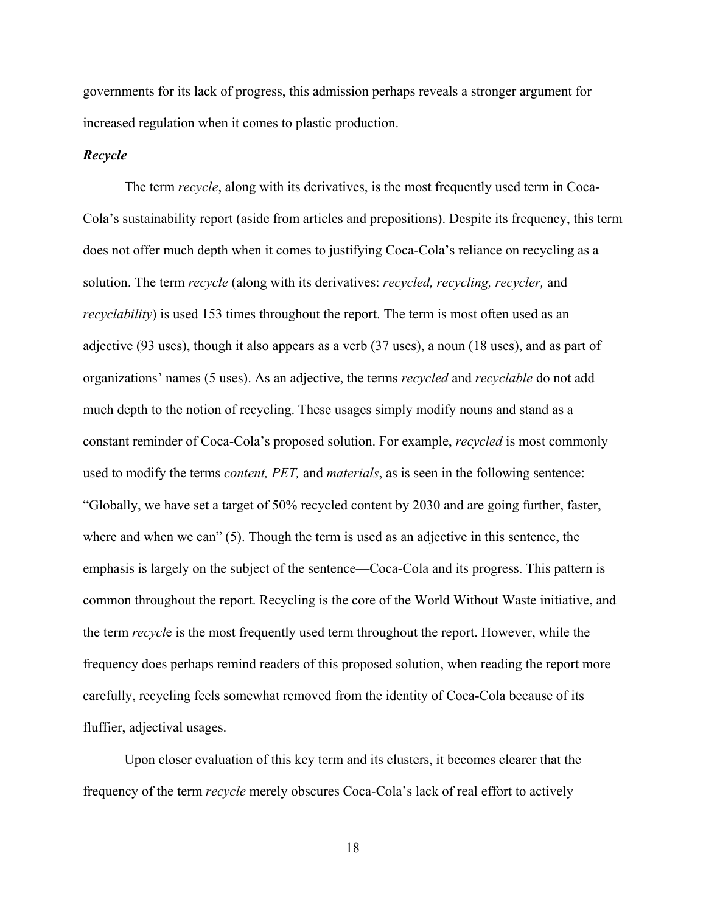governments for its lack of progress, this admission perhaps reveals a stronger argument for increased regulation when it comes to plastic production.

#### <span id="page-22-0"></span>*Recycle*

The term *recycle*, along with its derivatives, is the most frequently used term in Coca-Cola's sustainability report (aside from articles and prepositions). Despite its frequency, this term does not offer much depth when it comes to justifying Coca-Cola's reliance on recycling as a solution. The term *recycle* (along with its derivatives: *recycled, recycling, recycler,* and *recyclability*) is used 153 times throughout the report. The term is most often used as an adjective (93 uses), though it also appears as a verb (37 uses), a noun (18 uses), and as part of organizations' names (5 uses). As an adjective, the terms *recycled* and *recyclable* do not add much depth to the notion of recycling. These usages simply modify nouns and stand as a constant reminder of Coca-Cola's proposed solution. For example, *recycled* is most commonly used to modify the terms *content, PET,* and *materials*, as is seen in the following sentence: "Globally, we have set a target of 50% recycled content by 2030 and are going further, faster, where and when we can" (5). Though the term is used as an adjective in this sentence, the emphasis is largely on the subject of the sentence—Coca-Cola and its progress. This pattern is common throughout the report. Recycling is the core of the World Without Waste initiative, and the term *recycl*e is the most frequently used term throughout the report. However, while the frequency does perhaps remind readers of this proposed solution, when reading the report more carefully, recycling feels somewhat removed from the identity of Coca-Cola because of its fluffier, adjectival usages.

 Upon closer evaluation of this key term and its clusters, it becomes clearer that the frequency of the term *recycle* merely obscures Coca-Cola's lack of real effort to actively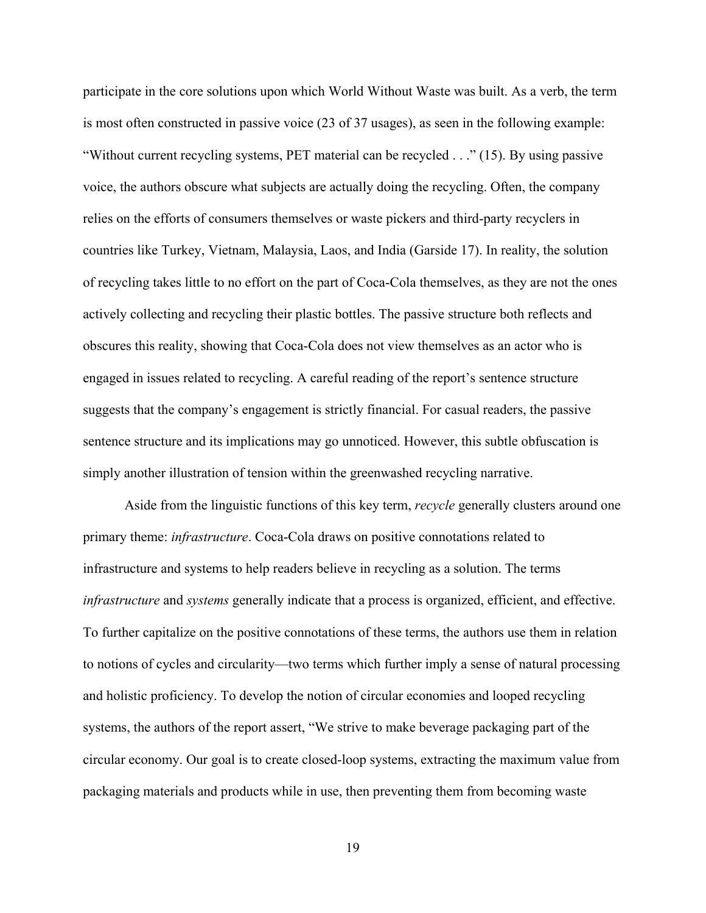participate in the core solutions upon which World Without Waste was built. As a verb, the term is most often constructed in passive voice (23 of 37 usages), as seen in the following example: "Without current recycling systems, PET material can be recycled . . ." (15). By using passive voice, the authors obscure what subjects are actually doing the recycling. Often, the company relies on the efforts of consumers themselves or waste pickers and third-party recyclers in countries like Turkey, Vietnam, Malaysia, Laos, and India (Garside 17). In reality, the solution of recycling takes little to no effort on the part of Coca-Cola themselves, as they are not the ones actively collecting and recycling their plastic bottles. The passive structure both reflects and obscures this reality, showing that Coca-Cola does not view themselves as an actor who is engaged in issues related to recycling. A careful reading of the report's sentence structure suggests that the company's engagement is strictly financial. For casual readers, the passive sentence structure and its implications may go unnoticed. However, this subtle obfuscation is simply another illustration of tension within the greenwashed recycling narrative.

Aside from the linguistic functions of this key term, *recycle* generally clusters around one primary theme: *infrastructure*. Coca-Cola draws on positive connotations related to infrastructure and systems to help readers believe in recycling as a solution. The terms *infrastructure* and *systems* generally indicate that a process is organized, efficient, and effective. To further capitalize on the positive connotations of these terms, the authors use them in relation to notions of cycles and circularity—two terms which further imply a sense of natural processing and holistic proficiency. To develop the notion of circular economies and looped recycling systems, the authors of the report assert, "We strive to make beverage packaging part of the circular economy. Our goal is to create closed-loop systems, extracting the maximum value from packaging materials and products while in use, then preventing them from becoming waste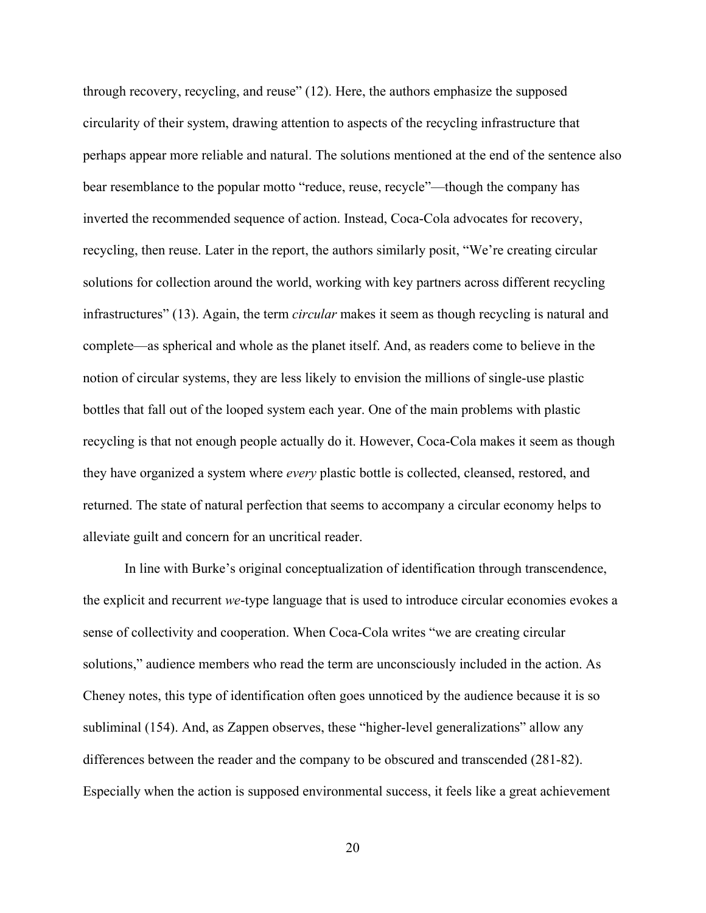through recovery, recycling, and reuse" (12). Here, the authors emphasize the supposed circularity of their system, drawing attention to aspects of the recycling infrastructure that perhaps appear more reliable and natural. The solutions mentioned at the end of the sentence also bear resemblance to the popular motto "reduce, reuse, recycle"—though the company has inverted the recommended sequence of action. Instead, Coca-Cola advocates for recovery, recycling, then reuse. Later in the report, the authors similarly posit, "We're creating circular solutions for collection around the world, working with key partners across different recycling infrastructures" (13). Again, the term *circular* makes it seem as though recycling is natural and complete—as spherical and whole as the planet itself. And, as readers come to believe in the notion of circular systems, they are less likely to envision the millions of single-use plastic bottles that fall out of the looped system each year. One of the main problems with plastic recycling is that not enough people actually do it. However, Coca-Cola makes it seem as though they have organized a system where *every* plastic bottle is collected, cleansed, restored, and returned. The state of natural perfection that seems to accompany a circular economy helps to alleviate guilt and concern for an uncritical reader.

In line with Burke's original conceptualization of identification through transcendence, the explicit and recurrent *we*-type language that is used to introduce circular economies evokes a sense of collectivity and cooperation. When Coca-Cola writes "we are creating circular solutions," audience members who read the term are unconsciously included in the action. As Cheney notes, this type of identification often goes unnoticed by the audience because it is so subliminal (154). And, as Zappen observes, these "higher-level generalizations" allow any differences between the reader and the company to be obscured and transcended (281-82). Especially when the action is supposed environmental success, it feels like a great achievement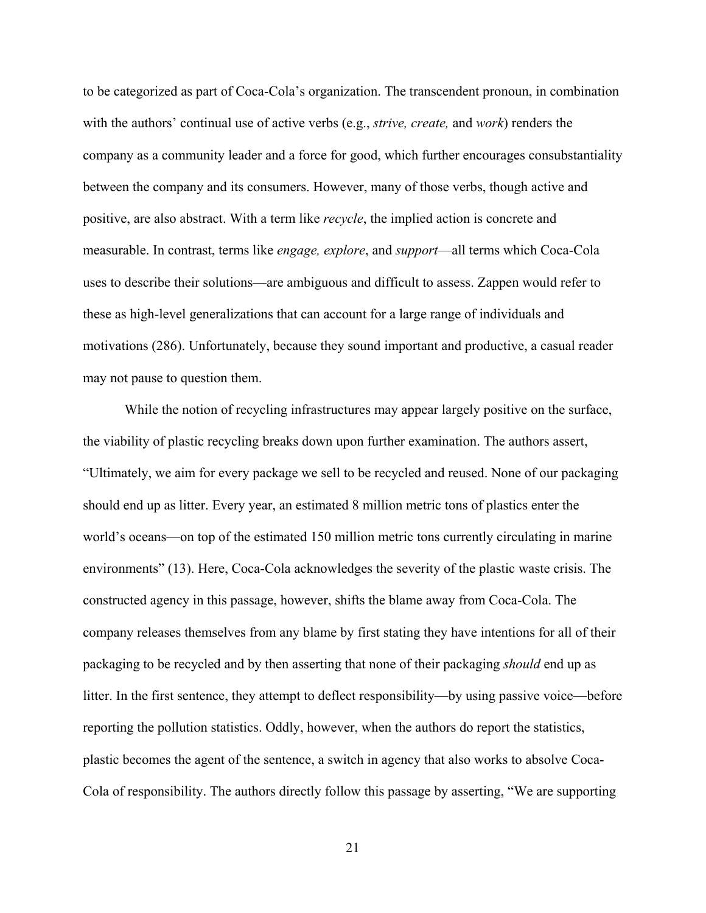to be categorized as part of Coca-Cola's organization. The transcendent pronoun, in combination with the authors' continual use of active verbs (e.g., *strive, create,* and *work*) renders the company as a community leader and a force for good, which further encourages consubstantiality between the company and its consumers. However, many of those verbs, though active and positive, are also abstract. With a term like *recycle*, the implied action is concrete and measurable. In contrast, terms like *engage, explore*, and *support*—all terms which Coca-Cola uses to describe their solutions—are ambiguous and difficult to assess. Zappen would refer to these as high-level generalizations that can account for a large range of individuals and motivations (286). Unfortunately, because they sound important and productive, a casual reader may not pause to question them.

While the notion of recycling infrastructures may appear largely positive on the surface, the viability of plastic recycling breaks down upon further examination. The authors assert, "Ultimately, we aim for every package we sell to be recycled and reused. None of our packaging should end up as litter. Every year, an estimated 8 million metric tons of plastics enter the world's oceans—on top of the estimated 150 million metric tons currently circulating in marine environments" (13). Here, Coca-Cola acknowledges the severity of the plastic waste crisis. The constructed agency in this passage, however, shifts the blame away from Coca-Cola. The company releases themselves from any blame by first stating they have intentions for all of their packaging to be recycled and by then asserting that none of their packaging *should* end up as litter. In the first sentence, they attempt to deflect responsibility—by using passive voice—before reporting the pollution statistics. Oddly, however, when the authors do report the statistics, plastic becomes the agent of the sentence, a switch in agency that also works to absolve Coca-Cola of responsibility. The authors directly follow this passage by asserting, "We are supporting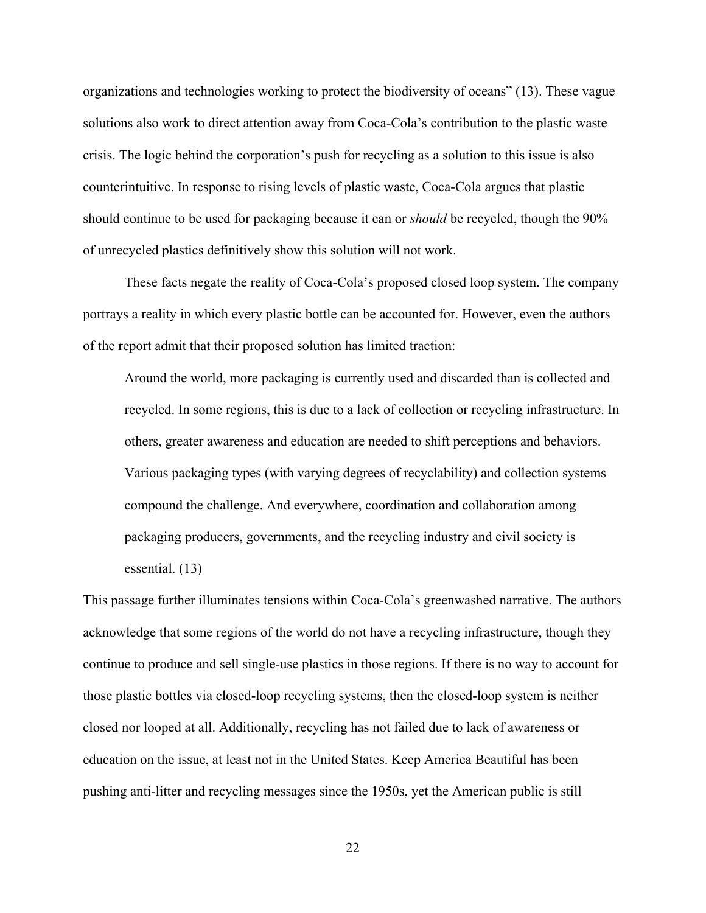organizations and technologies working to protect the biodiversity of oceans" (13). These vague solutions also work to direct attention away from Coca-Cola's contribution to the plastic waste crisis. The logic behind the corporation's push for recycling as a solution to this issue is also counterintuitive. In response to rising levels of plastic waste, Coca-Cola argues that plastic should continue to be used for packaging because it can or *should* be recycled, though the 90% of unrecycled plastics definitively show this solution will not work.

These facts negate the reality of Coca-Cola's proposed closed loop system. The company portrays a reality in which every plastic bottle can be accounted for. However, even the authors of the report admit that their proposed solution has limited traction:

Around the world, more packaging is currently used and discarded than is collected and recycled. In some regions, this is due to a lack of collection or recycling infrastructure. In others, greater awareness and education are needed to shift perceptions and behaviors. Various packaging types (with varying degrees of recyclability) and collection systems compound the challenge. And everywhere, coordination and collaboration among packaging producers, governments, and the recycling industry and civil society is essential. (13)

This passage further illuminates tensions within Coca-Cola's greenwashed narrative. The authors acknowledge that some regions of the world do not have a recycling infrastructure, though they continue to produce and sell single-use plastics in those regions. If there is no way to account for those plastic bottles via closed-loop recycling systems, then the closed-loop system is neither closed nor looped at all. Additionally, recycling has not failed due to lack of awareness or education on the issue, at least not in the United States. Keep America Beautiful has been pushing anti-litter and recycling messages since the 1950s, yet the American public is still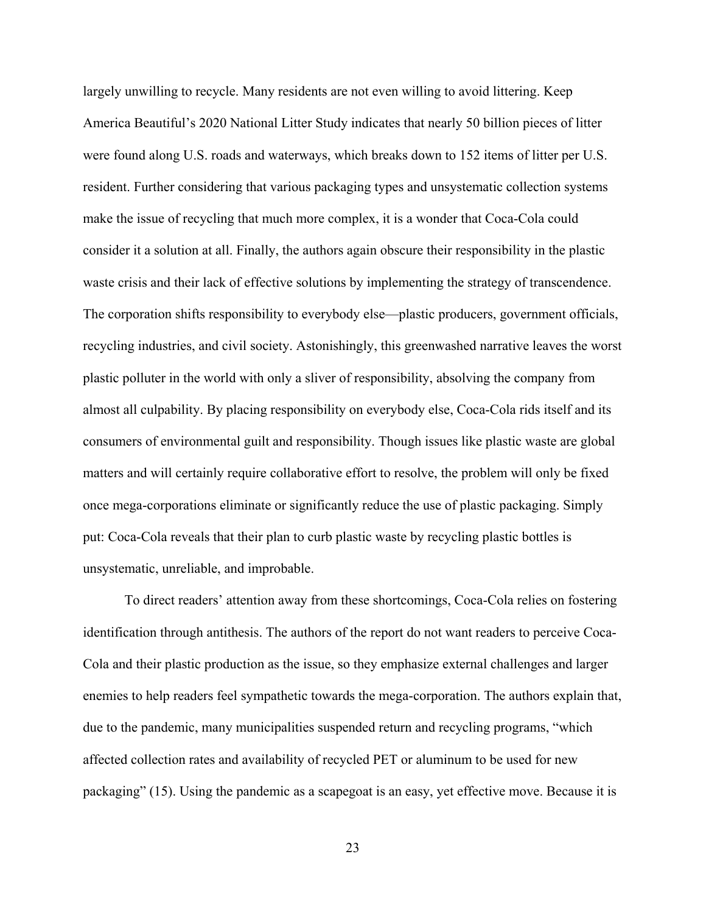largely unwilling to recycle. Many residents are not even willing to avoid littering. Keep America Beautiful's 2020 National Litter Study indicates that nearly 50 billion pieces of litter were found along U.S. roads and waterways, which breaks down to 152 items of litter per U.S. resident. Further considering that various packaging types and unsystematic collection systems make the issue of recycling that much more complex, it is a wonder that Coca-Cola could consider it a solution at all. Finally, the authors again obscure their responsibility in the plastic waste crisis and their lack of effective solutions by implementing the strategy of transcendence. The corporation shifts responsibility to everybody else—plastic producers, government officials, recycling industries, and civil society. Astonishingly, this greenwashed narrative leaves the worst plastic polluter in the world with only a sliver of responsibility, absolving the company from almost all culpability. By placing responsibility on everybody else, Coca-Cola rids itself and its consumers of environmental guilt and responsibility. Though issues like plastic waste are global matters and will certainly require collaborative effort to resolve, the problem will only be fixed once mega-corporations eliminate or significantly reduce the use of plastic packaging. Simply put: Coca-Cola reveals that their plan to curb plastic waste by recycling plastic bottles is unsystematic, unreliable, and improbable.

 To direct readers' attention away from these shortcomings, Coca-Cola relies on fostering identification through antithesis. The authors of the report do not want readers to perceive Coca-Cola and their plastic production as the issue, so they emphasize external challenges and larger enemies to help readers feel sympathetic towards the mega-corporation. The authors explain that, due to the pandemic, many municipalities suspended return and recycling programs, "which affected collection rates and availability of recycled PET or aluminum to be used for new packaging" (15). Using the pandemic as a scapegoat is an easy, yet effective move. Because it is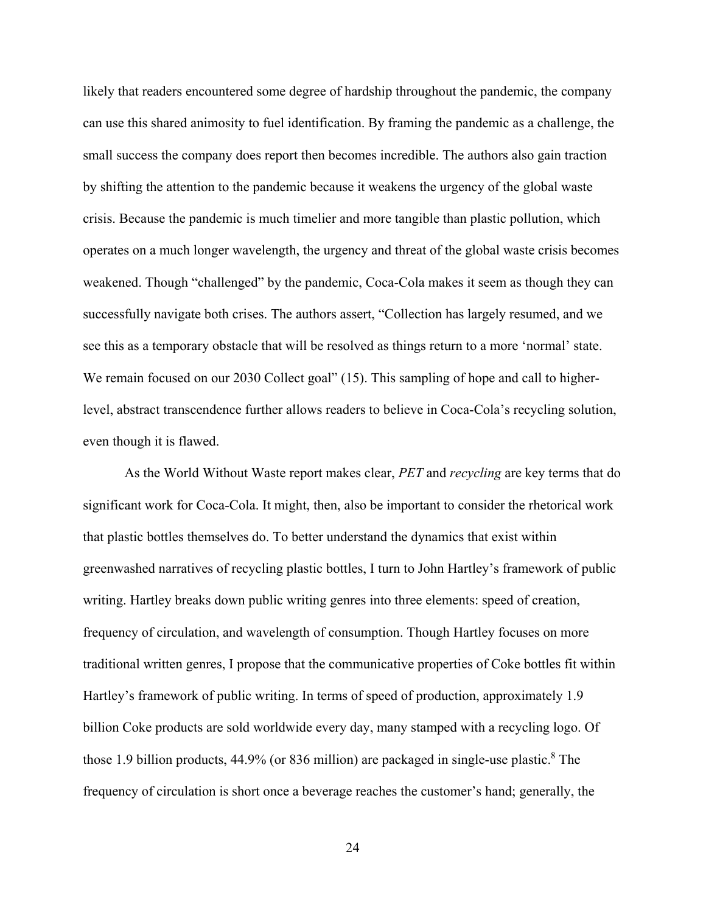likely that readers encountered some degree of hardship throughout the pandemic, the company can use this shared animosity to fuel identification. By framing the pandemic as a challenge, the small success the company does report then becomes incredible. The authors also gain traction by shifting the attention to the pandemic because it weakens the urgency of the global waste crisis. Because the pandemic is much timelier and more tangible than plastic pollution, which operates on a much longer wavelength, the urgency and threat of the global waste crisis becomes weakened. Though "challenged" by the pandemic, Coca-Cola makes it seem as though they can successfully navigate both crises. The authors assert, "Collection has largely resumed, and we see this as a temporary obstacle that will be resolved as things return to a more 'normal' state. We remain focused on our 2030 Collect goal" (15). This sampling of hope and call to higherlevel, abstract transcendence further allows readers to believe in Coca-Cola's recycling solution, even though it is flawed.

As the World Without Waste report makes clear, *PET* and *recycling* are key terms that do significant work for Coca-Cola. It might, then, also be important to consider the rhetorical work that plastic bottles themselves do. To better understand the dynamics that exist within greenwashed narratives of recycling plastic bottles, I turn to John Hartley's framework of public writing. Hartley breaks down public writing genres into three elements: speed of creation, frequency of circulation, and wavelength of consumption. Though Hartley focuses on more traditional written genres, I propose that the communicative properties of Coke bottles fit within Hartley's framework of public writing. In terms of speed of production, approximately 1.9 billion Coke products are sold worldwide every day, many stamped with a recycling logo. Of those 1.9 billion products, 44.9% (or 836 million) are packaged in single-use plastic.<sup>8</sup> The frequency of circulation is short once a beverage reaches the customer's hand; generally, the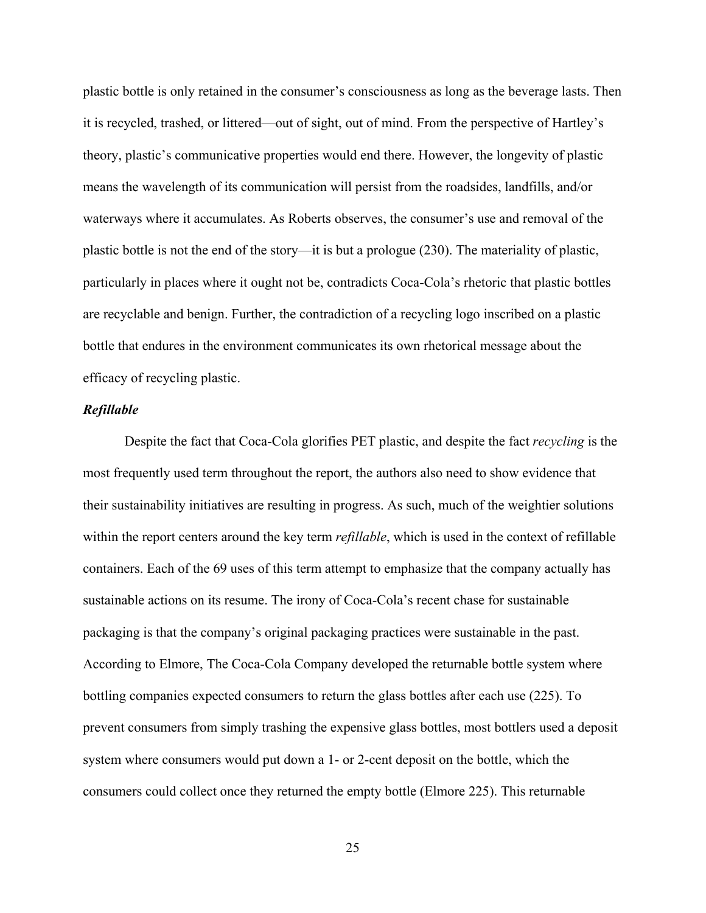plastic bottle is only retained in the consumer's consciousness as long as the beverage lasts. Then it is recycled, trashed, or littered—out of sight, out of mind. From the perspective of Hartley's theory, plastic's communicative properties would end there. However, the longevity of plastic means the wavelength of its communication will persist from the roadsides, landfills, and/or waterways where it accumulates. As Roberts observes, the consumer's use and removal of the plastic bottle is not the end of the story—it is but a prologue (230). The materiality of plastic, particularly in places where it ought not be, contradicts Coca-Cola's rhetoric that plastic bottles are recyclable and benign. Further, the contradiction of a recycling logo inscribed on a plastic bottle that endures in the environment communicates its own rhetorical message about the efficacy of recycling plastic.

# <span id="page-29-0"></span>*Refillable*

Despite the fact that Coca-Cola glorifies PET plastic, and despite the fact *recycling* is the most frequently used term throughout the report, the authors also need to show evidence that their sustainability initiatives are resulting in progress. As such, much of the weightier solutions within the report centers around the key term *refillable*, which is used in the context of refillable containers. Each of the 69 uses of this term attempt to emphasize that the company actually has sustainable actions on its resume. The irony of Coca-Cola's recent chase for sustainable packaging is that the company's original packaging practices were sustainable in the past. According to Elmore, The Coca-Cola Company developed the returnable bottle system where bottling companies expected consumers to return the glass bottles after each use (225). To prevent consumers from simply trashing the expensive glass bottles, most bottlers used a deposit system where consumers would put down a 1- or 2-cent deposit on the bottle, which the consumers could collect once they returned the empty bottle (Elmore 225). This returnable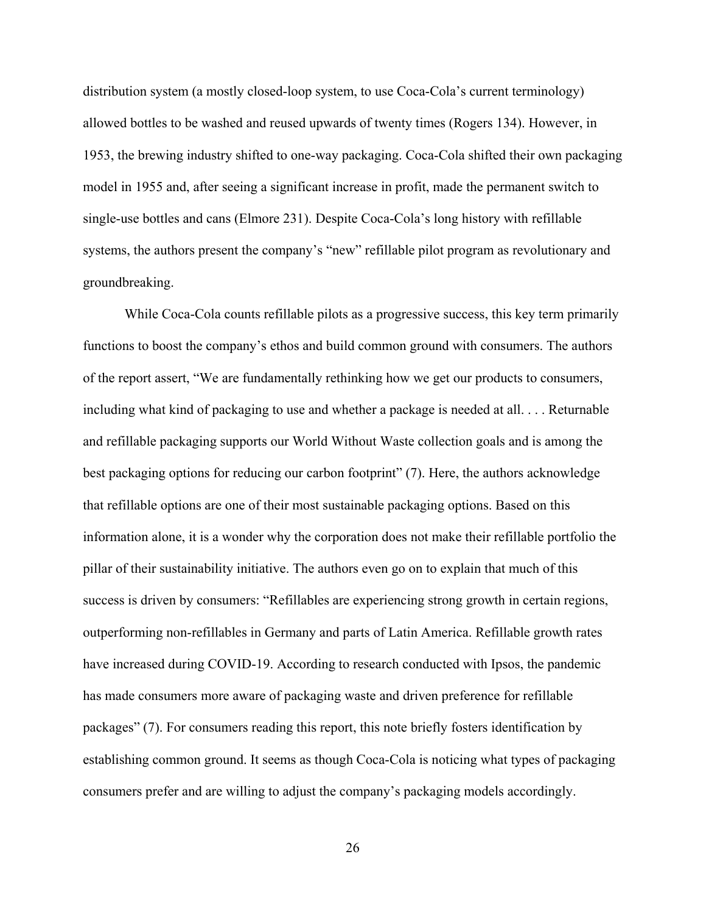distribution system (a mostly closed-loop system, to use Coca-Cola's current terminology) allowed bottles to be washed and reused upwards of twenty times (Rogers 134). However, in 1953, the brewing industry shifted to one-way packaging. Coca-Cola shifted their own packaging model in 1955 and, after seeing a significant increase in profit, made the permanent switch to single-use bottles and cans (Elmore 231). Despite Coca-Cola's long history with refillable systems, the authors present the company's "new" refillable pilot program as revolutionary and groundbreaking.

 While Coca-Cola counts refillable pilots as a progressive success, this key term primarily functions to boost the company's ethos and build common ground with consumers. The authors of the report assert, "We are fundamentally rethinking how we get our products to consumers, including what kind of packaging to use and whether a package is needed at all. . . . Returnable and refillable packaging supports our World Without Waste collection goals and is among the best packaging options for reducing our carbon footprint" (7). Here, the authors acknowledge that refillable options are one of their most sustainable packaging options. Based on this information alone, it is a wonder why the corporation does not make their refillable portfolio the pillar of their sustainability initiative. The authors even go on to explain that much of this success is driven by consumers: "Refillables are experiencing strong growth in certain regions, outperforming non-refillables in Germany and parts of Latin America. Refillable growth rates have increased during COVID-19. According to research conducted with Ipsos, the pandemic has made consumers more aware of packaging waste and driven preference for refillable packages" (7). For consumers reading this report, this note briefly fosters identification by establishing common ground. It seems as though Coca-Cola is noticing what types of packaging consumers prefer and are willing to adjust the company's packaging models accordingly.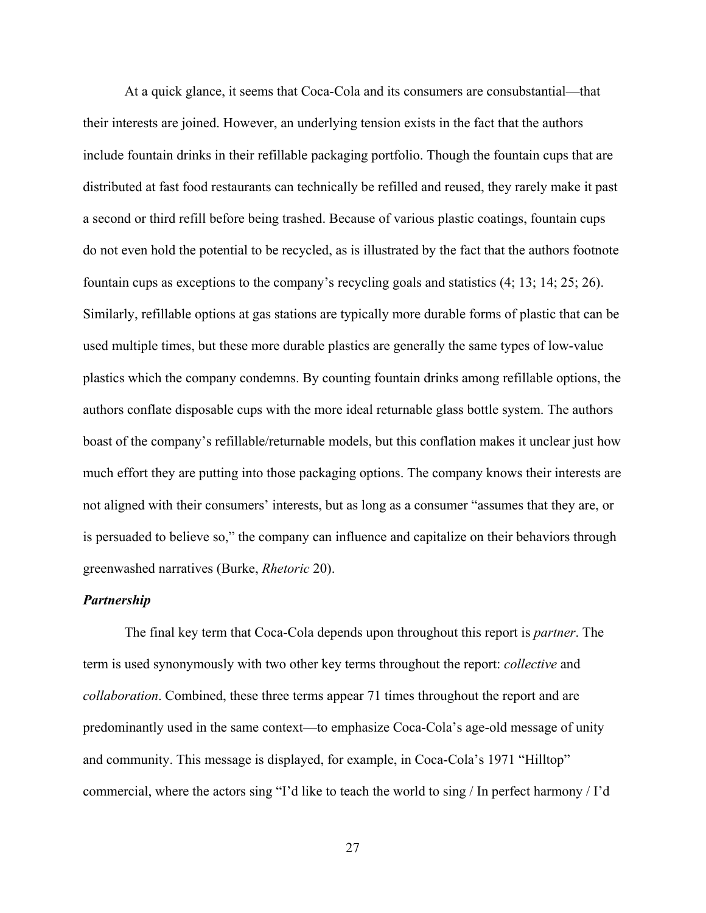At a quick glance, it seems that Coca-Cola and its consumers are consubstantial—that their interests are joined. However, an underlying tension exists in the fact that the authors include fountain drinks in their refillable packaging portfolio. Though the fountain cups that are distributed at fast food restaurants can technically be refilled and reused, they rarely make it past a second or third refill before being trashed. Because of various plastic coatings, fountain cups do not even hold the potential to be recycled, as is illustrated by the fact that the authors footnote fountain cups as exceptions to the company's recycling goals and statistics (4; 13; 14; 25; 26). Similarly, refillable options at gas stations are typically more durable forms of plastic that can be used multiple times, but these more durable plastics are generally the same types of low-value plastics which the company condemns. By counting fountain drinks among refillable options, the authors conflate disposable cups with the more ideal returnable glass bottle system. The authors boast of the company's refillable/returnable models, but this conflation makes it unclear just how much effort they are putting into those packaging options. The company knows their interests are not aligned with their consumers' interests, but as long as a consumer "assumes that they are, or is persuaded to believe so," the company can influence and capitalize on their behaviors through greenwashed narratives (Burke, *Rhetoric* 20).

# <span id="page-31-0"></span>*Partnership*

 The final key term that Coca-Cola depends upon throughout this report is *partner*. The term is used synonymously with two other key terms throughout the report: *collective* and *collaboration*. Combined, these three terms appear 71 times throughout the report and are predominantly used in the same context—to emphasize Coca-Cola's age-old message of unity and community. This message is displayed, for example, in Coca-Cola's 1971 "Hilltop" commercial, where the actors sing "I'd like to teach the world to sing / In perfect harmony / I'd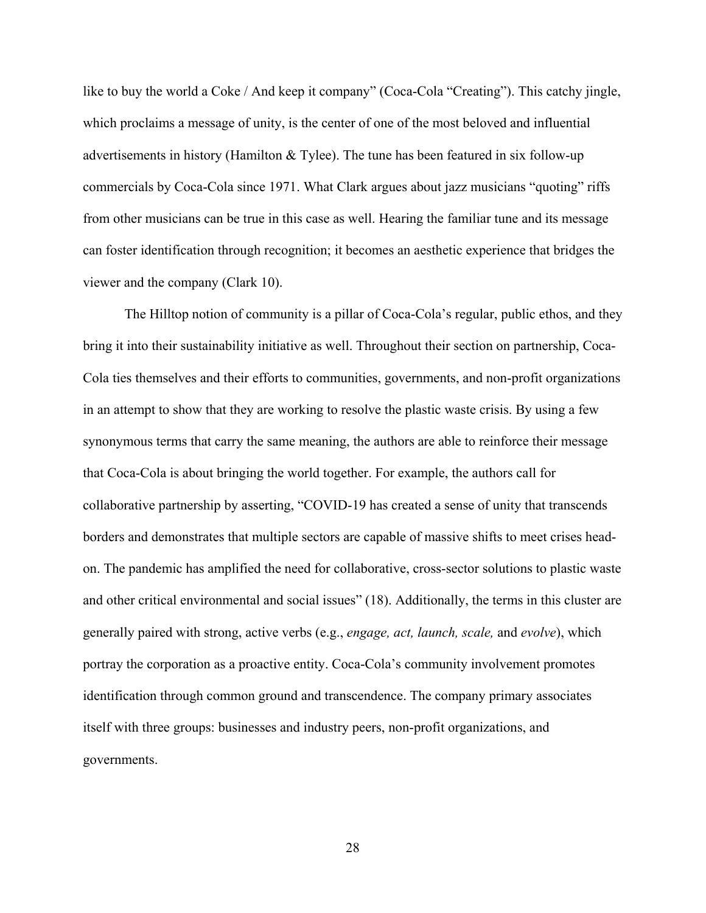like to buy the world a Coke / And keep it company" (Coca-Cola "Creating"). This catchy jingle, which proclaims a message of unity, is the center of one of the most beloved and influential advertisements in history (Hamilton & Tylee). The tune has been featured in six follow-up commercials by Coca-Cola since 1971. What Clark argues about jazz musicians "quoting" riffs from other musicians can be true in this case as well. Hearing the familiar tune and its message can foster identification through recognition; it becomes an aesthetic experience that bridges the viewer and the company (Clark 10).

The Hilltop notion of community is a pillar of Coca-Cola's regular, public ethos, and they bring it into their sustainability initiative as well. Throughout their section on partnership, Coca-Cola ties themselves and their efforts to communities, governments, and non-profit organizations in an attempt to show that they are working to resolve the plastic waste crisis. By using a few synonymous terms that carry the same meaning, the authors are able to reinforce their message that Coca-Cola is about bringing the world together. For example, the authors call for collaborative partnership by asserting, "COVID-19 has created a sense of unity that transcends borders and demonstrates that multiple sectors are capable of massive shifts to meet crises headon. The pandemic has amplified the need for collaborative, cross-sector solutions to plastic waste and other critical environmental and social issues" (18). Additionally, the terms in this cluster are generally paired with strong, active verbs (e.g., *engage, act, launch, scale,* and *evolve*), which portray the corporation as a proactive entity. Coca-Cola's community involvement promotes identification through common ground and transcendence. The company primary associates itself with three groups: businesses and industry peers, non-profit organizations, and governments.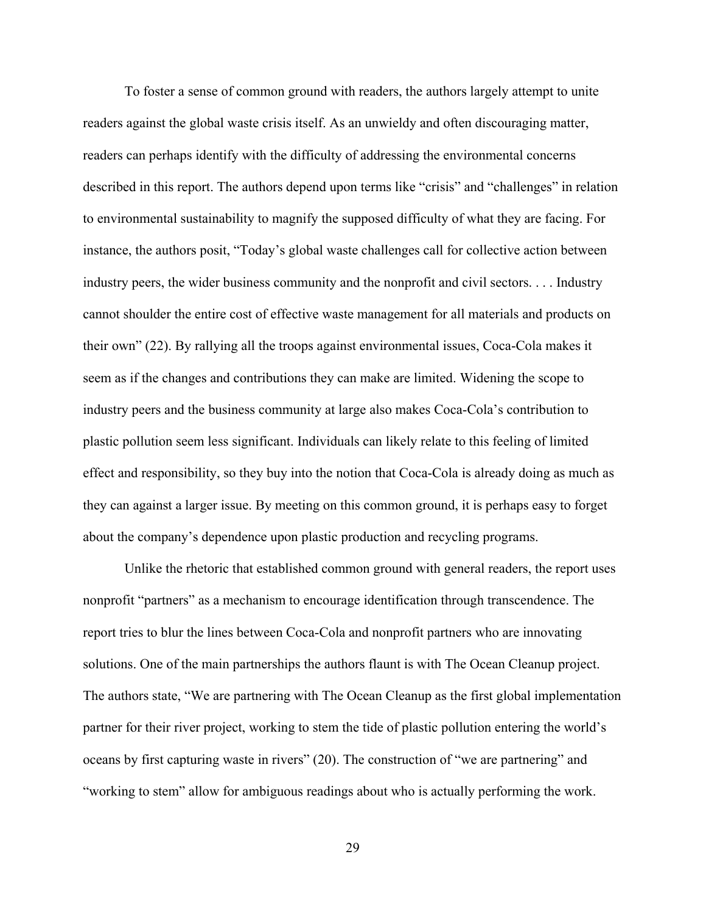To foster a sense of common ground with readers, the authors largely attempt to unite readers against the global waste crisis itself. As an unwieldy and often discouraging matter, readers can perhaps identify with the difficulty of addressing the environmental concerns described in this report. The authors depend upon terms like "crisis" and "challenges" in relation to environmental sustainability to magnify the supposed difficulty of what they are facing. For instance, the authors posit, "Today's global waste challenges call for collective action between industry peers, the wider business community and the nonprofit and civil sectors. . . . Industry cannot shoulder the entire cost of effective waste management for all materials and products on their own" (22). By rallying all the troops against environmental issues, Coca-Cola makes it seem as if the changes and contributions they can make are limited. Widening the scope to industry peers and the business community at large also makes Coca-Cola's contribution to plastic pollution seem less significant. Individuals can likely relate to this feeling of limited effect and responsibility, so they buy into the notion that Coca-Cola is already doing as much as they can against a larger issue. By meeting on this common ground, it is perhaps easy to forget about the company's dependence upon plastic production and recycling programs.

 Unlike the rhetoric that established common ground with general readers, the report uses nonprofit "partners" as a mechanism to encourage identification through transcendence. The report tries to blur the lines between Coca-Cola and nonprofit partners who are innovating solutions. One of the main partnerships the authors flaunt is with The Ocean Cleanup project. The authors state, "We are partnering with The Ocean Cleanup as the first global implementation partner for their river project, working to stem the tide of plastic pollution entering the world's oceans by first capturing waste in rivers" (20). The construction of "we are partnering" and "working to stem" allow for ambiguous readings about who is actually performing the work.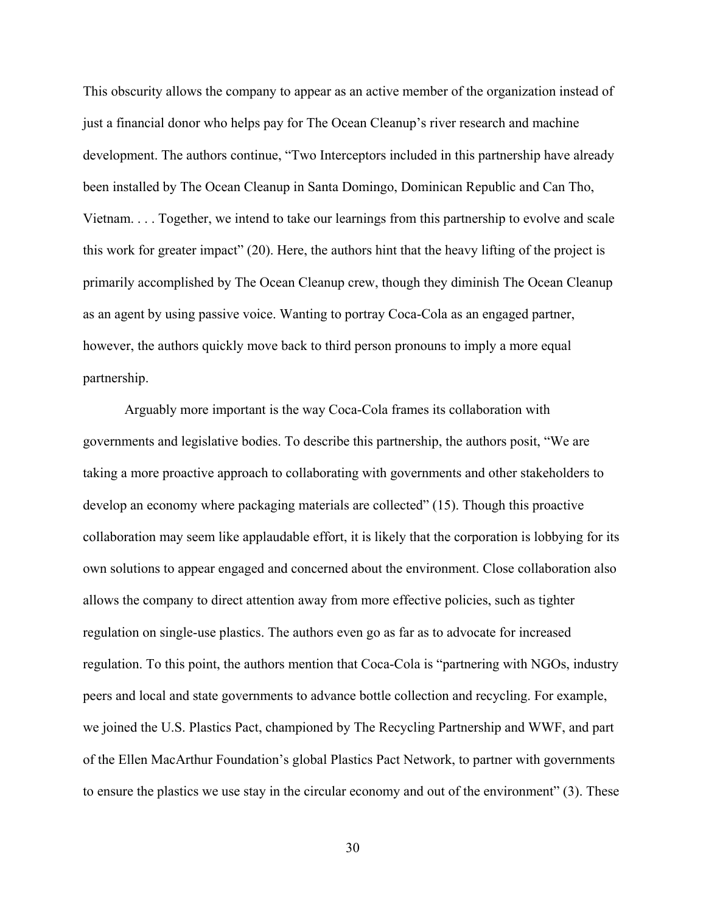This obscurity allows the company to appear as an active member of the organization instead of just a financial donor who helps pay for The Ocean Cleanup's river research and machine development. The authors continue, "Two Interceptors included in this partnership have already been installed by The Ocean Cleanup in Santa Domingo, Dominican Republic and Can Tho, Vietnam. . . . Together, we intend to take our learnings from this partnership to evolve and scale this work for greater impact" (20). Here, the authors hint that the heavy lifting of the project is primarily accomplished by The Ocean Cleanup crew, though they diminish The Ocean Cleanup as an agent by using passive voice. Wanting to portray Coca-Cola as an engaged partner, however, the authors quickly move back to third person pronouns to imply a more equal partnership.

 Arguably more important is the way Coca-Cola frames its collaboration with governments and legislative bodies. To describe this partnership, the authors posit, "We are taking a more proactive approach to collaborating with governments and other stakeholders to develop an economy where packaging materials are collected" (15). Though this proactive collaboration may seem like applaudable effort, it is likely that the corporation is lobbying for its own solutions to appear engaged and concerned about the environment. Close collaboration also allows the company to direct attention away from more effective policies, such as tighter regulation on single-use plastics. The authors even go as far as to advocate for increased regulation. To this point, the authors mention that Coca-Cola is "partnering with NGOs, industry peers and local and state governments to advance bottle collection and recycling. For example, we joined the U.S. Plastics Pact, championed by The Recycling Partnership and WWF, and part of the Ellen MacArthur Foundation's global Plastics Pact Network, to partner with governments to ensure the plastics we use stay in the circular economy and out of the environment" (3). These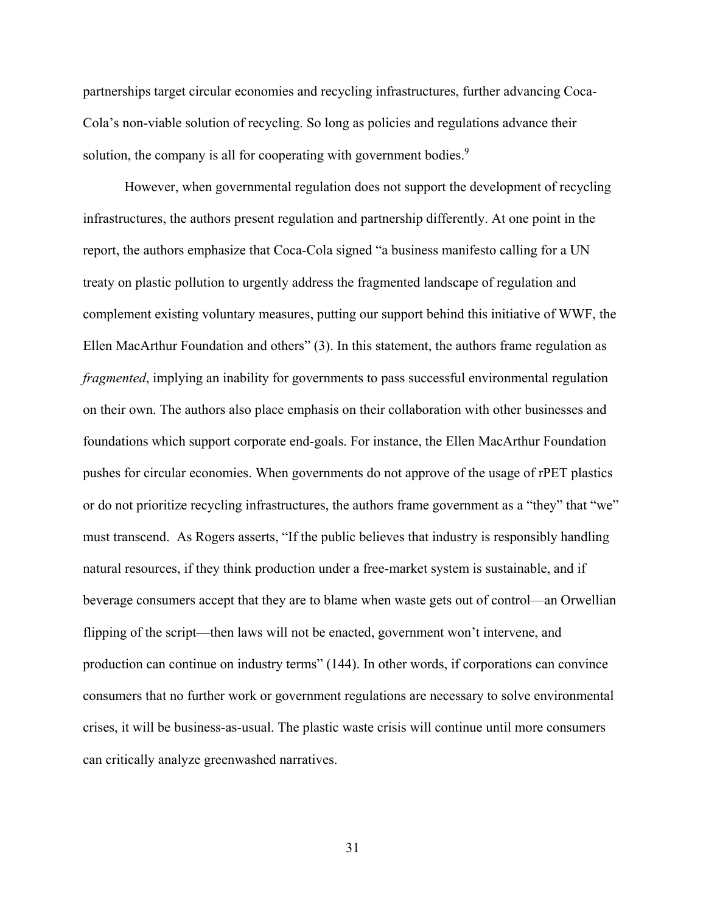partnerships target circular economies and recycling infrastructures, further advancing Coca-Cola's non-viable solution of recycling. So long as policies and regulations advance their solution, the company is all for cooperating with government bodies.<sup>9</sup>

 However, when governmental regulation does not support the development of recycling infrastructures, the authors present regulation and partnership differently. At one point in the report, the authors emphasize that Coca-Cola signed "a business manifesto calling for a UN treaty on plastic pollution to urgently address the fragmented landscape of regulation and complement existing voluntary measures, putting our support behind this initiative of WWF, the Ellen MacArthur Foundation and others" (3). In this statement, the authors frame regulation as *fragmented*, implying an inability for governments to pass successful environmental regulation on their own. The authors also place emphasis on their collaboration with other businesses and foundations which support corporate end-goals. For instance, the Ellen MacArthur Foundation pushes for circular economies. When governments do not approve of the usage of rPET plastics or do not prioritize recycling infrastructures, the authors frame government as a "they" that "we" must transcend. As Rogers asserts, "If the public believes that industry is responsibly handling natural resources, if they think production under a free-market system is sustainable, and if beverage consumers accept that they are to blame when waste gets out of control—an Orwellian flipping of the script—then laws will not be enacted, government won't intervene, and production can continue on industry terms" (144). In other words, if corporations can convince consumers that no further work or government regulations are necessary to solve environmental crises, it will be business-as-usual. The plastic waste crisis will continue until more consumers can critically analyze greenwashed narratives.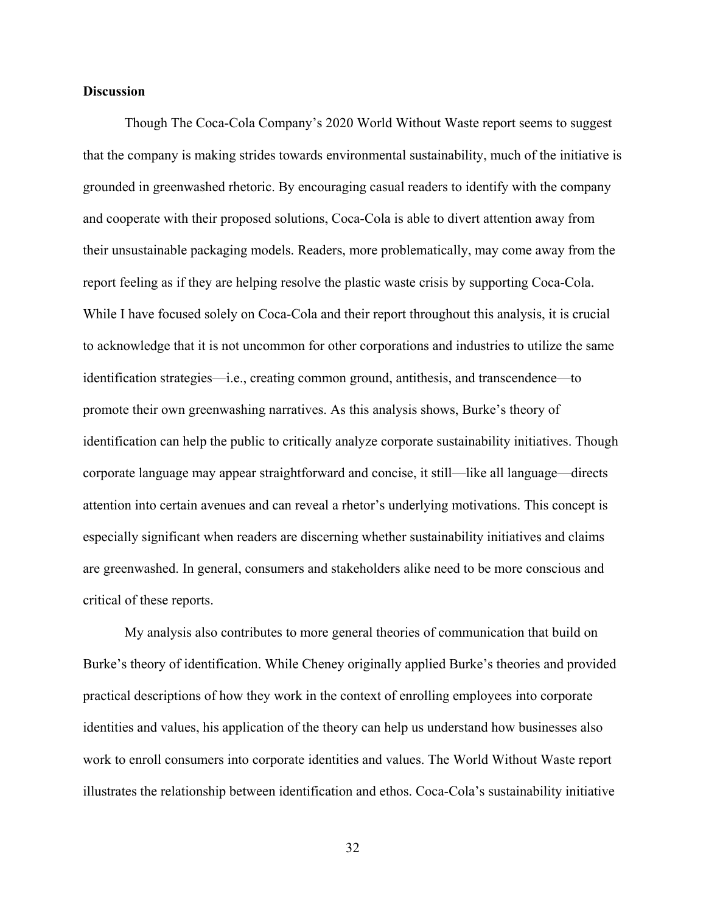# <span id="page-36-0"></span>**Discussion**

Though The Coca-Cola Company's 2020 World Without Waste report seems to suggest that the company is making strides towards environmental sustainability, much of the initiative is grounded in greenwashed rhetoric. By encouraging casual readers to identify with the company and cooperate with their proposed solutions, Coca-Cola is able to divert attention away from their unsustainable packaging models. Readers, more problematically, may come away from the report feeling as if they are helping resolve the plastic waste crisis by supporting Coca-Cola. While I have focused solely on Coca-Cola and their report throughout this analysis, it is crucial to acknowledge that it is not uncommon for other corporations and industries to utilize the same identification strategies—i.e., creating common ground, antithesis, and transcendence—to promote their own greenwashing narratives. As this analysis shows, Burke's theory of identification can help the public to critically analyze corporate sustainability initiatives. Though corporate language may appear straightforward and concise, it still—like all language—directs attention into certain avenues and can reveal a rhetor's underlying motivations. This concept is especially significant when readers are discerning whether sustainability initiatives and claims are greenwashed. In general, consumers and stakeholders alike need to be more conscious and critical of these reports.

My analysis also contributes to more general theories of communication that build on Burke's theory of identification. While Cheney originally applied Burke's theories and provided practical descriptions of how they work in the context of enrolling employees into corporate identities and values, his application of the theory can help us understand how businesses also work to enroll consumers into corporate identities and values. The World Without Waste report illustrates the relationship between identification and ethos. Coca-Cola's sustainability initiative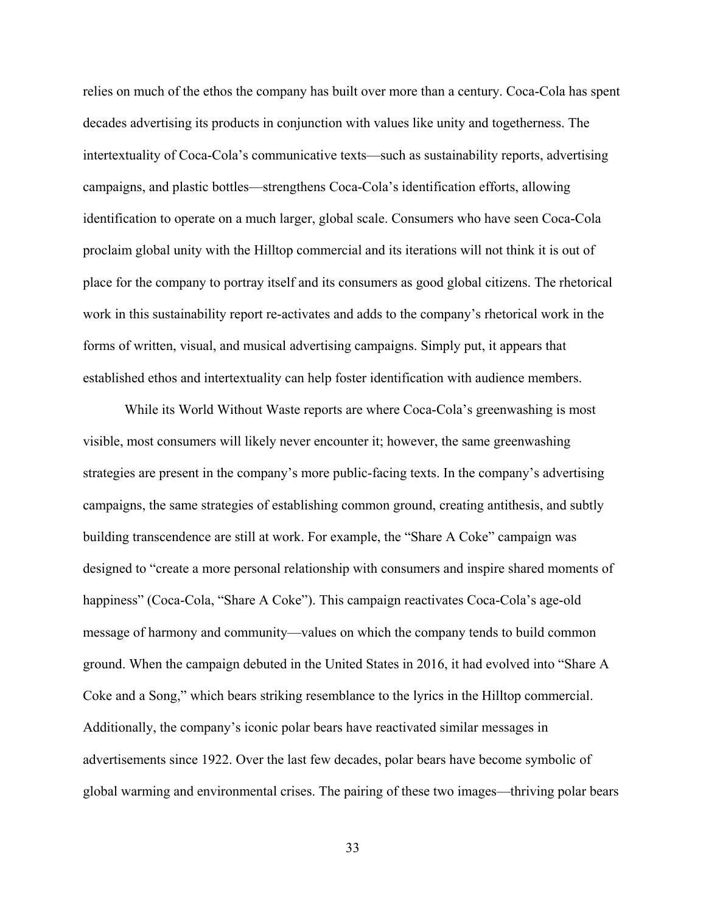relies on much of the ethos the company has built over more than a century. Coca-Cola has spent decades advertising its products in conjunction with values like unity and togetherness. The intertextuality of Coca-Cola's communicative texts—such as sustainability reports, advertising campaigns, and plastic bottles—strengthens Coca-Cola's identification efforts, allowing identification to operate on a much larger, global scale. Consumers who have seen Coca-Cola proclaim global unity with the Hilltop commercial and its iterations will not think it is out of place for the company to portray itself and its consumers as good global citizens. The rhetorical work in this sustainability report re-activates and adds to the company's rhetorical work in the forms of written, visual, and musical advertising campaigns. Simply put, it appears that established ethos and intertextuality can help foster identification with audience members.

While its World Without Waste reports are where Coca-Cola's greenwashing is most visible, most consumers will likely never encounter it; however, the same greenwashing strategies are present in the company's more public-facing texts. In the company's advertising campaigns, the same strategies of establishing common ground, creating antithesis, and subtly building transcendence are still at work. For example, the "Share A Coke" campaign was designed to "create a more personal relationship with consumers and inspire shared moments of happiness" (Coca-Cola, "Share A Coke"). This campaign reactivates Coca-Cola's age-old message of harmony and community—values on which the company tends to build common ground. When the campaign debuted in the United States in 2016, it had evolved into "Share A Coke and a Song," which bears striking resemblance to the lyrics in the Hilltop commercial. Additionally, the company's iconic polar bears have reactivated similar messages in advertisements since 1922. Over the last few decades, polar bears have become symbolic of global warming and environmental crises. The pairing of these two images—thriving polar bears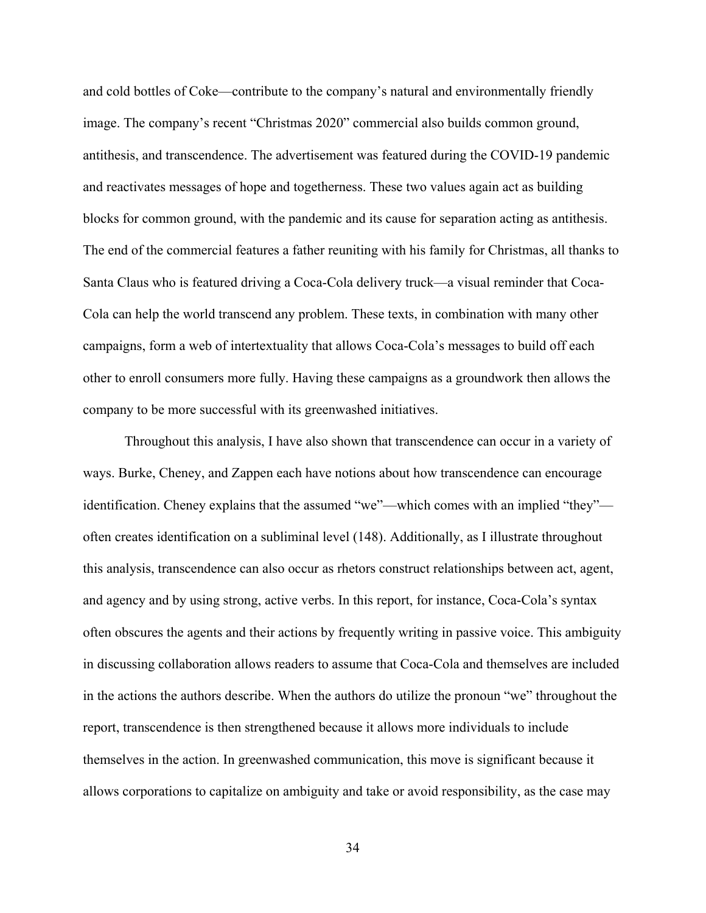and cold bottles of Coke—contribute to the company's natural and environmentally friendly image. The company's recent "Christmas 2020" commercial also builds common ground, antithesis, and transcendence. The advertisement was featured during the COVID-19 pandemic and reactivates messages of hope and togetherness. These two values again act as building blocks for common ground, with the pandemic and its cause for separation acting as antithesis. The end of the commercial features a father reuniting with his family for Christmas, all thanks to Santa Claus who is featured driving a Coca-Cola delivery truck—a visual reminder that Coca-Cola can help the world transcend any problem. These texts, in combination with many other campaigns, form a web of intertextuality that allows Coca-Cola's messages to build off each other to enroll consumers more fully. Having these campaigns as a groundwork then allows the company to be more successful with its greenwashed initiatives.

Throughout this analysis, I have also shown that transcendence can occur in a variety of ways. Burke, Cheney, and Zappen each have notions about how transcendence can encourage identification. Cheney explains that the assumed "we"—which comes with an implied "they" often creates identification on a subliminal level (148). Additionally, as I illustrate throughout this analysis, transcendence can also occur as rhetors construct relationships between act, agent, and agency and by using strong, active verbs. In this report, for instance, Coca-Cola's syntax often obscures the agents and their actions by frequently writing in passive voice. This ambiguity in discussing collaboration allows readers to assume that Coca-Cola and themselves are included in the actions the authors describe. When the authors do utilize the pronoun "we" throughout the report, transcendence is then strengthened because it allows more individuals to include themselves in the action. In greenwashed communication, this move is significant because it allows corporations to capitalize on ambiguity and take or avoid responsibility, as the case may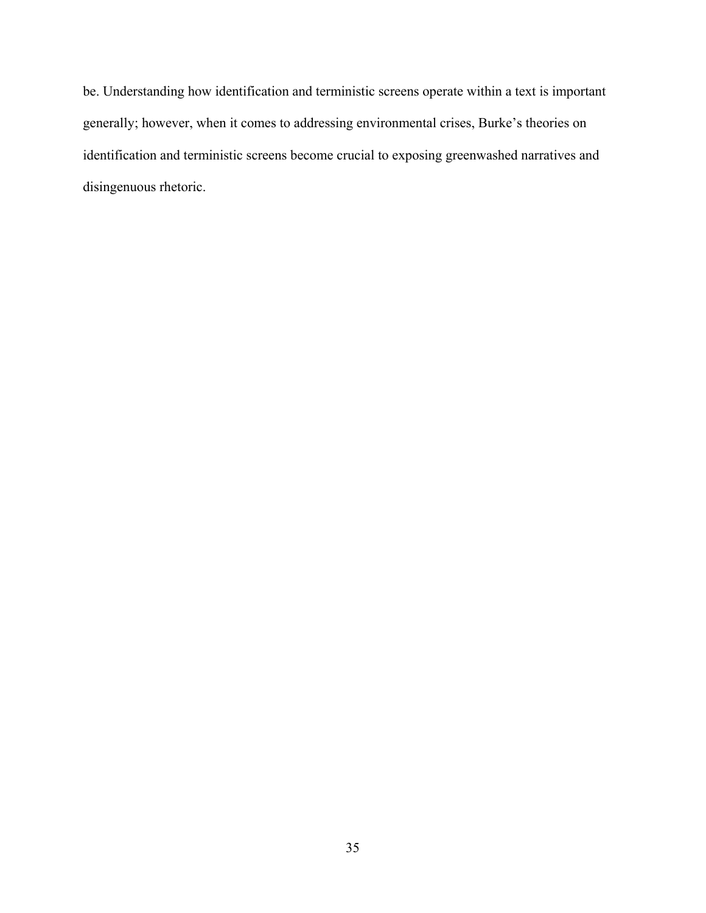be. Understanding how identification and terministic screens operate within a text is important generally; however, when it comes to addressing environmental crises, Burke's theories on identification and terministic screens become crucial to exposing greenwashed narratives and disingenuous rhetoric.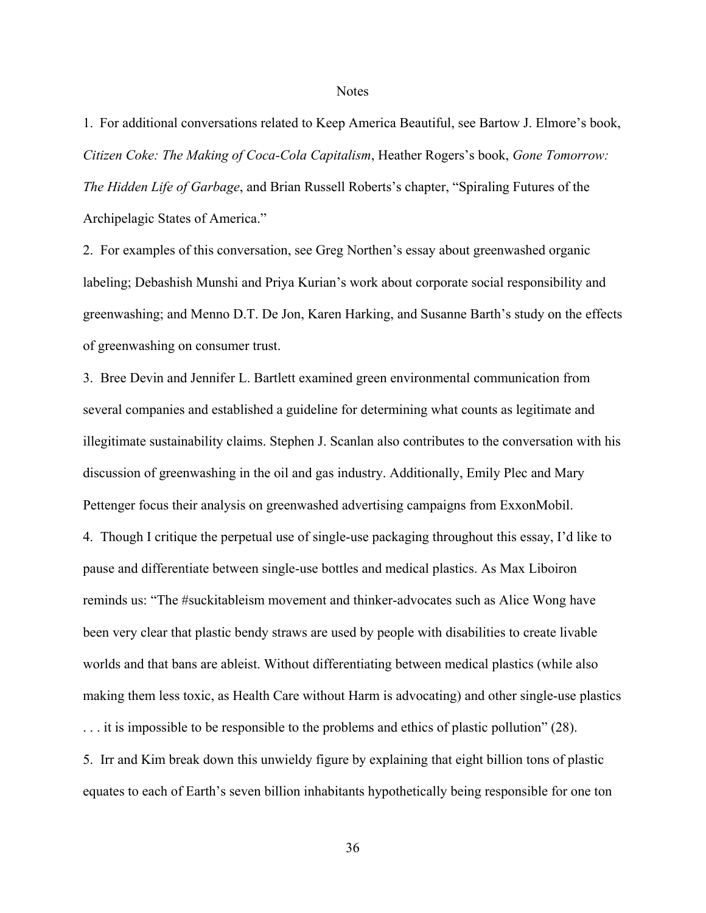#### **Notes**

<span id="page-40-1"></span><span id="page-40-0"></span>1. For additional conversations related to Keep America Beautiful, see Bartow J. Elmore's book, *Citizen Coke: The Making of Coca-Cola Capitalism*, Heather Rogers's book, *Gone Tomorrow: The Hidden Life of Garbage*, and Brian Russell Roberts's chapter, "Spiraling Futures of the Archipelagic States of America."

<span id="page-40-2"></span>2. For examples of this conversation, see Greg Northen's essay about greenwashed organic labeling; Debashish Munshi and Priya Kurian's work about corporate social responsibility and greenwashing; and Menno D.T. De Jon, Karen Harking, and Susanne Barth's study on the effects of greenwashing on consumer trust.

<span id="page-40-4"></span><span id="page-40-3"></span>3. Bree Devin and Jennifer L. Bartlett examined green environmental communication from several companies and established a guideline for determining what counts as legitimate and illegitimate sustainability claims. Stephen J. Scanlan also contributes to the conversation with his discussion of greenwashing in the oil and gas industry. Additionally, Emily Plec and Mary Pettenger focus their analysis on greenwashed advertising campaigns from ExxonMobil. 4. Though I critique the perpetual use of single-use packaging throughout this essay, I'd like to pause and differentiate between single-use bottles and medical plastics. As Max Liboiron reminds us: "The #suckitableism movement and thinker-advocates such as Alice Wong have been very clear that plastic bendy straws are used by people with disabilities to create livable worlds and that bans are ableist. Without differentiating between medical plastics (while also making them less toxic, as Health Care without Harm is advocating) and other single-use plastics . . . it is impossible to be responsible to the problems and ethics of plastic pollution" (28). 5. Irr and Kim break down this unwieldy figure by explaining that eight billion tons of plastic

<span id="page-40-5"></span>equates to each of Earth's seven billion inhabitants hypothetically being responsible for one ton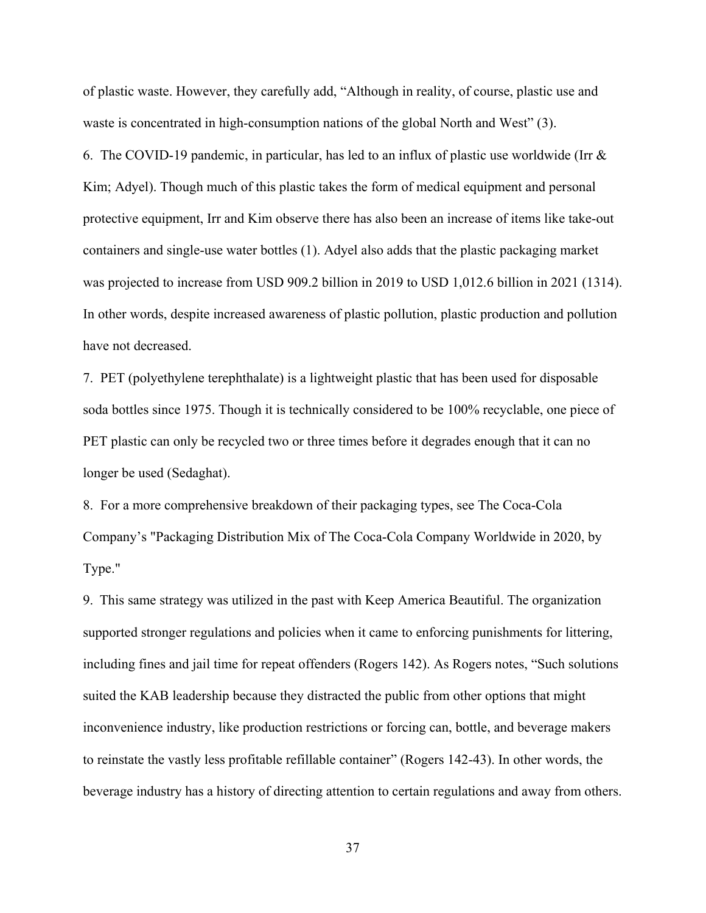of plastic waste. However, they carefully add, "Although in reality, of course, plastic use and waste is concentrated in high-consumption nations of the global North and West" (3).

<span id="page-41-0"></span>6. The COVID-19 pandemic, in particular, has led to an influx of plastic use worldwide (Irr  $\&$ Kim; Adyel). Though much of this plastic takes the form of medical equipment and personal protective equipment, Irr and Kim observe there has also been an increase of items like take-out containers and single-use water bottles (1). Adyel also adds that the plastic packaging market was projected to increase from USD 909.2 billion in 2019 to USD 1,012.6 billion in 2021 (1314). In other words, despite increased awareness of plastic pollution, plastic production and pollution have not decreased.

<span id="page-41-1"></span>7. PET (polyethylene terephthalate) is a lightweight plastic that has been used for disposable soda bottles since 1975. Though it is technically considered to be 100% recyclable, one piece of PET plastic can only be recycled two or three times before it degrades enough that it can no longer be used (Sedaghat).

<span id="page-41-2"></span>8. For a more comprehensive breakdown of their packaging types, see The Coca-Cola Company's "Packaging Distribution Mix of The Coca-Cola Company Worldwide in 2020, by Type."

<span id="page-41-3"></span>9. This same strategy was utilized in the past with Keep America Beautiful. The organization supported stronger regulations and policies when it came to enforcing punishments for littering, including fines and jail time for repeat offenders (Rogers 142). As Rogers notes, "Such solutions suited the KAB leadership because they distracted the public from other options that might inconvenience industry, like production restrictions or forcing can, bottle, and beverage makers to reinstate the vastly less profitable refillable container" (Rogers 142-43). In other words, the beverage industry has a history of directing attention to certain regulations and away from others.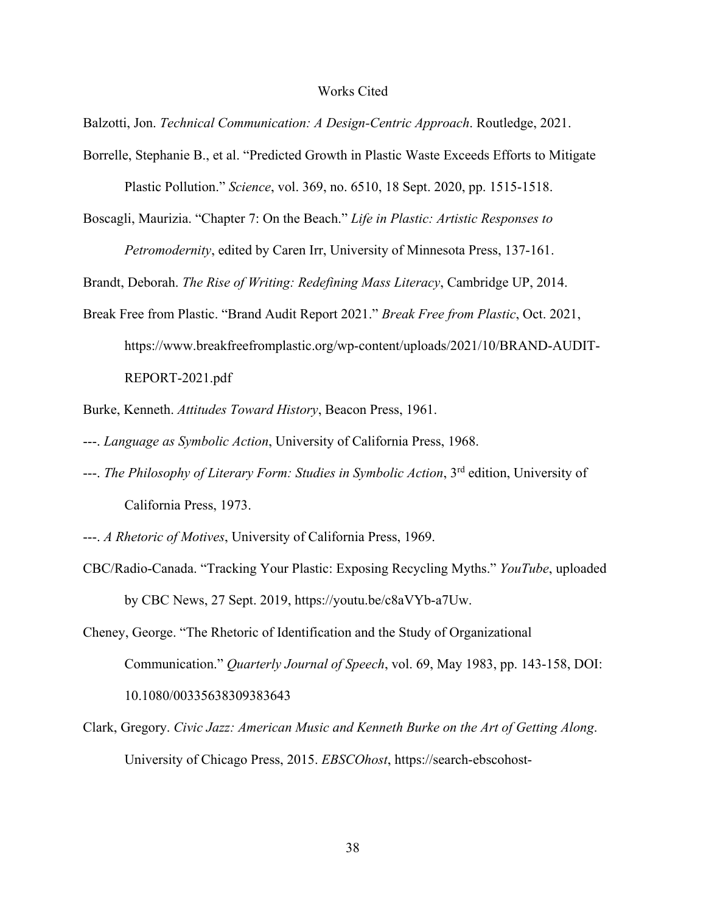#### Works Cited

<span id="page-42-0"></span>Balzotti, Jon. *Technical Communication: A Design-Centric Approach*. Routledge, 2021.

- Borrelle, Stephanie B., et al. "Predicted Growth in Plastic Waste Exceeds Efforts to Mitigate Plastic Pollution." *Science*, vol. 369, no. 6510, 18 Sept. 2020, pp. 1515-1518.
- Boscagli, Maurizia. "Chapter 7: On the Beach." *Life in Plastic: Artistic Responses to Petromodernity*, edited by Caren Irr, University of Minnesota Press, 137-161.

Brandt, Deborah. *The Rise of Writing: Redefining Mass Literacy*, Cambridge UP, 2014.

Break Free from Plastic. "Brand Audit Report 2021." *Break Free from Plastic*, Oct. 2021, https://www.breakfreefromplastic.org/wp-content/uploads/2021/10/BRAND-AUDIT-REPORT-2021.pdf

Burke, Kenneth. *Attitudes Toward History*, Beacon Press, 1961.

- ---. *Language as Symbolic Action*, University of California Press, 1968.
- ---. *The Philosophy of Literary Form: Studies in Symbolic Action*, 3rd edition, University of California Press, 1973.
- ---. *A Rhetoric of Motives*, University of California Press, 1969.
- CBC/Radio-Canada. "Tracking Your Plastic: Exposing Recycling Myths." *YouTube*, uploaded by CBC News, 27 Sept. 2019, https://youtu.be/c8aVYb-a7Uw.
- Cheney, George. "The Rhetoric of Identification and the Study of Organizational Communication." *Quarterly Journal of Speech*, vol. 69, May 1983, pp. 143-158, DOI: 10.1080/00335638309383643
- Clark, Gregory. *Civic Jazz: American Music and Kenneth Burke on the Art of Getting Along*. University of Chicago Press, 2015. *EBSCOhost*, https://search-ebscohost-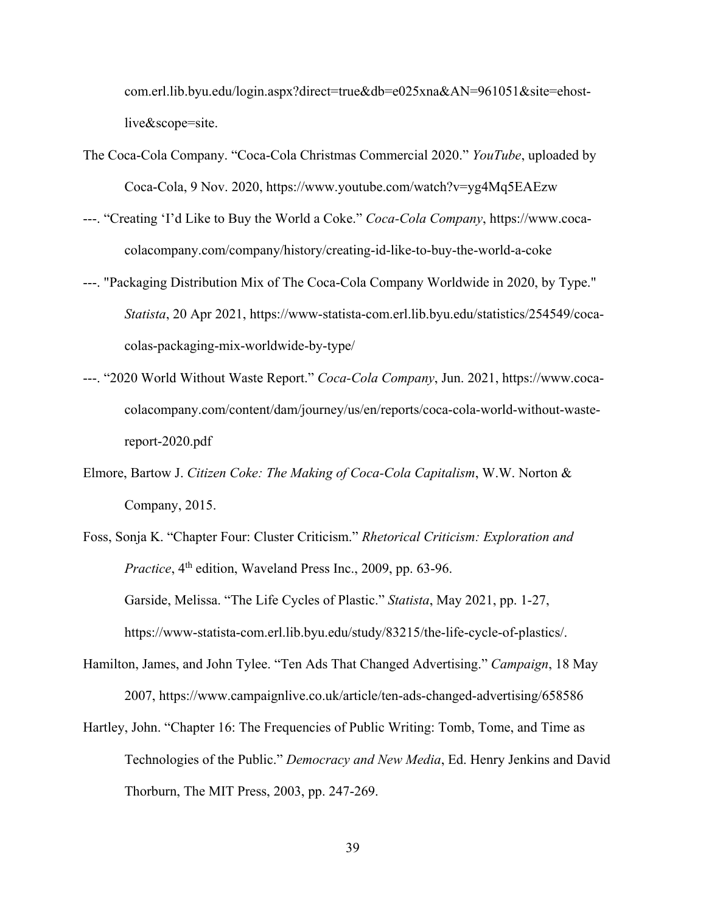com.erl.lib.byu.edu/login.aspx?direct=true&db=e025xna&AN=961051&site=ehostlive&scope=site.

- The Coca-Cola Company. "Coca-Cola Christmas Commercial 2020." *YouTube*, uploaded by Coca-Cola, 9 Nov. 2020, https://www.youtube.com/watch?v=yg4Mq5EAEzw
- ---. "Creating 'I'd Like to Buy the World a Coke." *Coca-Cola Company*, https://www.cocacolacompany.com/company/history/creating-id-like-to-buy-the-world-a-coke
- ---. "Packaging Distribution Mix of The Coca-Cola Company Worldwide in 2020, by Type." *Statista*, 20 Apr 2021, https://www-statista-com.erl.lib.byu.edu/statistics/254549/cocacolas-packaging-mix-worldwide-by-type/
- ---. "2020 World Without Waste Report." *Coca-Cola Company*, Jun. 2021, https://www.cocacolacompany.com/content/dam/journey/us/en/reports/coca-cola-world-without-wastereport-2020.pdf
- Elmore, Bartow J. *Citizen Coke: The Making of Coca-Cola Capitalism*, W.W. Norton & Company, 2015.
- Foss, Sonja K. "Chapter Four: Cluster Criticism." *Rhetorical Criticism: Exploration and Practice*, 4<sup>th</sup> edition, Waveland Press Inc., 2009, pp. 63-96. Garside, Melissa. "The Life Cycles of Plastic." *Statista*, May 2021, pp. 1-27, https://www-statista-com.erl.lib.byu.edu/study/83215/the-life-cycle-of-plastics/.
- Hamilton, James, and John Tylee. "Ten Ads That Changed Advertising." *Campaign*, 18 May 2007, https://www.campaignlive.co.uk/article/ten-ads-changed-advertising/658586
- Hartley, John. "Chapter 16: The Frequencies of Public Writing: Tomb, Tome, and Time as Technologies of the Public." *Democracy and New Media*, Ed. Henry Jenkins and David Thorburn, The MIT Press, 2003, pp. 247-269.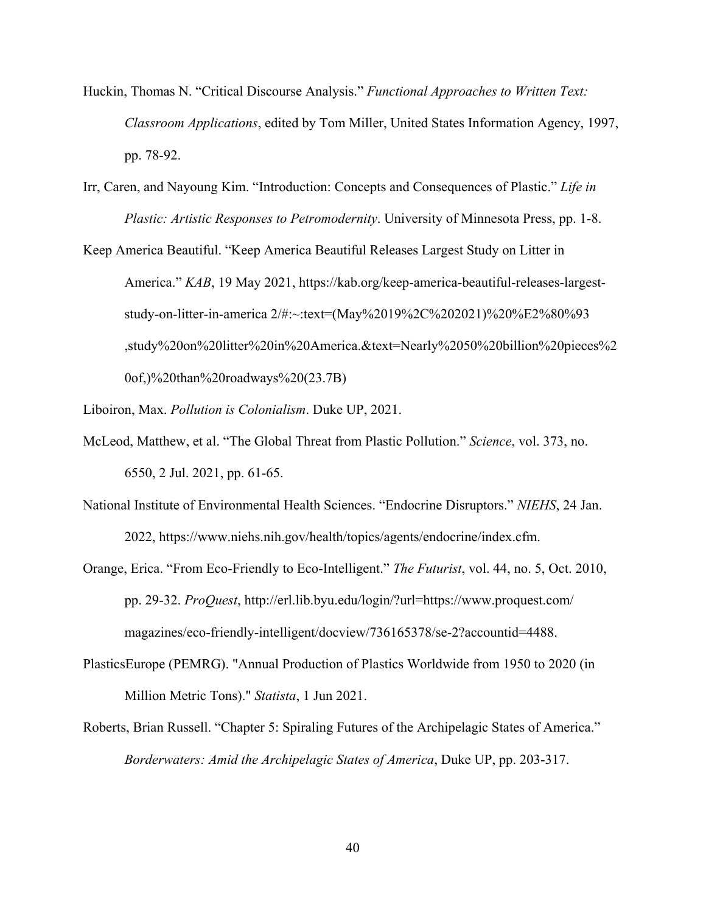- Huckin, Thomas N. "Critical Discourse Analysis." *Functional Approaches to Written Text: Classroom Applications*, edited by Tom Miller, United States Information Agency, 1997, pp. 78-92.
- Irr, Caren, and Nayoung Kim. "Introduction: Concepts and Consequences of Plastic." *Life in Plastic: Artistic Responses to Petromodernity*. University of Minnesota Press, pp. 1-8.

Keep America Beautiful. "Keep America Beautiful Releases Largest Study on Litter in America." *KAB*, 19 May 2021, https://kab.org/keep-america-beautiful-releases-largeststudy-on-litter-in-america 2/#:~:text=(May%2019%2C%202021)%20%E2%80%93 ,study%20on%20litter%20in%20America.&text=Nearly%2050%20billion%20pieces%2 0of,)%20than%20roadways%20(23.7B)

Liboiron, Max. *Pollution is Colonialism*. Duke UP, 2021.

- McLeod, Matthew, et al. "The Global Threat from Plastic Pollution." *Science*, vol. 373, no. 6550, 2 Jul. 2021, pp. 61-65.
- National Institute of Environmental Health Sciences. "Endocrine Disruptors." *NIEHS*, 24 Jan. 2022, https://www.niehs.nih.gov/health/topics/agents/endocrine/index.cfm.
- Orange, Erica. "From Eco-Friendly to Eco-Intelligent." *The Futurist*, vol. 44, no. 5, Oct. 2010, pp. 29-32. *ProQuest*, http://erl.lib.byu.edu/login/?url=https://www.proquest.com/ magazines/eco-friendly-intelligent/docview/736165378/se-2?accountid=4488.
- PlasticsEurope (PEMRG). "Annual Production of Plastics Worldwide from 1950 to 2020 (in Million Metric Tons)." *Statista*, 1 Jun 2021.
- Roberts, Brian Russell. "Chapter 5: Spiraling Futures of the Archipelagic States of America." *Borderwaters: Amid the Archipelagic States of America*, Duke UP, pp. 203-317.